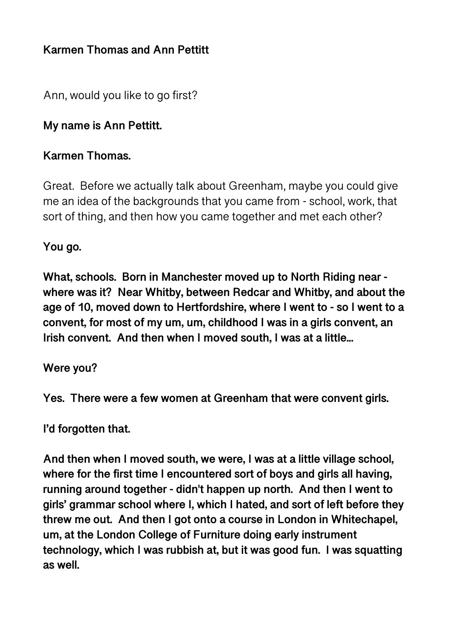# **Karmen Thomas and Ann Pettitt**

Ann, would you like to go first?

### **My name is Ann Pettitt.**

#### **Karmen Thomas.**

Great. Before we actually talk about Greenham, maybe you could give me an idea of the backgrounds that you came from - school, work, that sort of thing, and then how you came together and met each other?

**You go.** 

**What, schools. Born in Manchester moved up to North Riding near where was it? Near Whitby, between Redcar and Whitby, and about the age of 10, moved down to Hertfordshire, where I went to - so I went to a convent, for most of my um, um, childhood I was in a girls convent, an Irish convent. And then when I moved south, I was at a little...** 

#### **Were you?**

**Yes. There were a few women at Greenham that were convent girls.** 

**I'd forgotten that.** 

**And then when I moved south, we were, I was at a little village school, where for the first time I encountered sort of boys and girls all having, running around together - didn't happen up north. And then I went to girls' grammar school where I, which I hated, and sort of left before they threw me out. And then I got onto a course in London in Whitechapel, um, at the London College of Furniture doing early instrument technology, which I was rubbish at, but it was good fun. I was squatting as well.**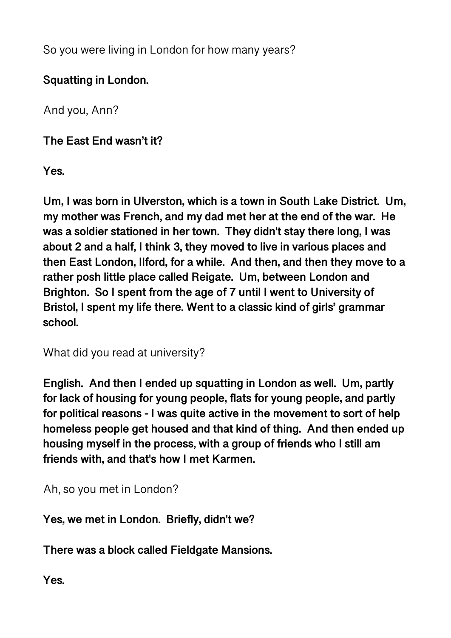So you were living in London for how many years?

# **Squatting in London.**

And you, Ann?

**The East End wasn't it?** 

**Yes.** 

**Um, I was born in Ulverston, which is a town in South Lake District. Um, my mother was French, and my dad met her at the end of the war. He was a soldier stationed in her town. They didn't stay there long, I was about 2 and a half, I think 3, they moved to live in various places and then East London, Ilford, for a while. And then, and then they move to a rather posh little place called Reigate. Um, between London and Brighton. So I spent from the age of 7 until I went to University of Bristol, I spent my life there. Went to a classic kind of girls' grammar school.** 

What did you read at university?

**English. And then I ended up squatting in London as well. Um, partly for lack of housing for young people, flats for young people, and partly for political reasons - I was quite active in the movement to sort of help homeless people get housed and that kind of thing. And then ended up housing myself in the process, with a group of friends who I still am friends with, and that's how I met Karmen.** 

Ah, so you met in London?

**Yes, we met in London. Briefly, didn't we?** 

**There was a block called Fieldgate Mansions.** 

**Yes.**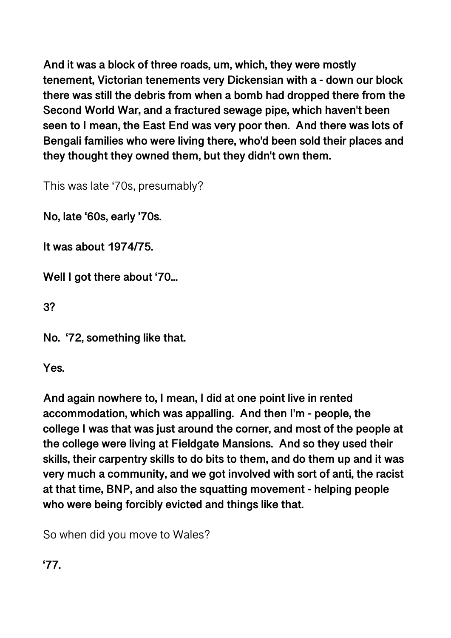**And it was a block of three roads, um, which, they were mostly tenement, Victorian tenements very Dickensian with a - down our block there was still the debris from when a bomb had dropped there from the Second World War, and a fractured sewage pipe, which haven't been seen to I mean, the East End was very poor then. And there was lots of Bengali families who were living there, who'd been sold their places and they thought they owned them, but they didn't own them.** 

This was late '70s, presumably?

**No, late '60s, early '70s.** 

**It was about 1974/75.** 

**Well I got there about '70...** 

**3?** 

**No. '72, something like that.** 

**Yes.** 

**And again nowhere to, I mean, I did at one point live in rented accommodation, which was appalling. And then I'm - people, the college I was that was just around the corner, and most of the people at the college were living at Fieldgate Mansions. And so they used their skills, their carpentry skills to do bits to them, and do them up and it was very much a community, and we got involved with sort of anti, the racist at that time, BNP, and also the squatting movement - helping people who were being forcibly evicted and things like that.** 

So when did you move to Wales?

**'77.**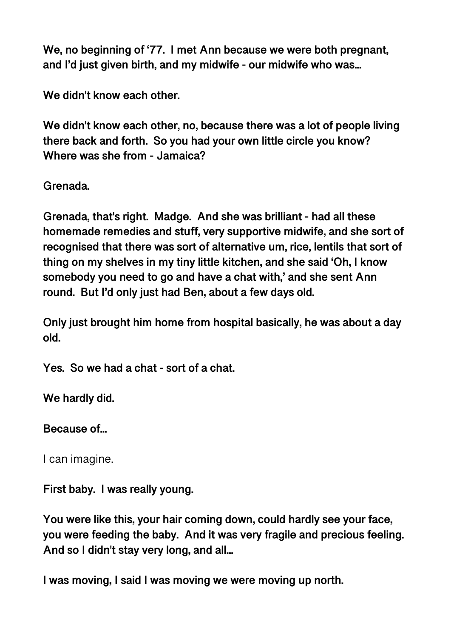**We, no beginning of '77. I met Ann because we were both pregnant, and I'd just given birth, and my midwife - our midwife who was...** 

**We didn't know each other.** 

**We didn't know each other, no, because there was a lot of people living there back and forth. So you had your own little circle you know? Where was she from - Jamaica?** 

**Grenada.** 

**Grenada, that's right. Madge. And she was brilliant - had all these homemade remedies and stuff, very supportive midwife, and she sort of recognised that there was sort of alternative um, rice, lentils that sort of thing on my shelves in my tiny little kitchen, and she said 'Oh, I know somebody you need to go and have a chat with,' and she sent Ann round. But I'd only just had Ben, about a few days old.** 

**Only just brought him home from hospital basically, he was about a day old.** 

**Yes. So we had a chat - sort of a chat.** 

**We hardly did.** 

**Because of...** 

I can imagine.

**First baby. I was really young.** 

**You were like this, your hair coming down, could hardly see your face, you were feeding the baby. And it was very fragile and precious feeling. And so I didn't stay very long, and all...** 

**I was moving, I said I was moving we were moving up north.**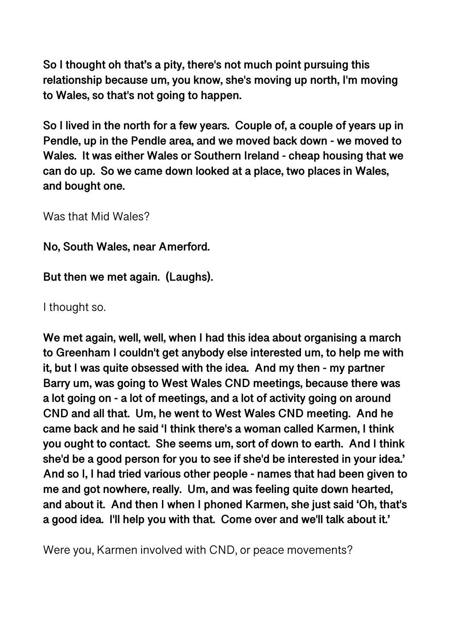**So I thought oh that's a pity, there's not much point pursuing this relationship because um, you know, she's moving up north, I'm moving to Wales, so that's not going to happen.** 

**So I lived in the north for a few years. Couple of, a couple of years up in Pendle, up in the Pendle area, and we moved back down - we moved to Wales. It was either Wales or Southern Ireland - cheap housing that we can do up. So we came down looked at a place, two places in Wales, and bought one.** 

Was that Mid Wales?

**No, South Wales, near Amerford.** 

**But then we met again. (Laughs).** 

I thought so.

**We met again, well, well, when I had this idea about organising a march to Greenham I couldn't get anybody else interested um, to help me with it, but I was quite obsessed with the idea. And my then - my partner Barry um, was going to West Wales CND meetings, because there was a lot going on - a lot of meetings, and a lot of activity going on around CND and all that. Um, he went to West Wales CND meeting. And he came back and he said 'I think there's a woman called Karmen, I think you ought to contact. She seems um, sort of down to earth. And I think she'd be a good person for you to see if she'd be interested in your idea.' And so I, I had tried various other people - names that had been given to me and got nowhere, really. Um, and was feeling quite down hearted, and about it. And then I when I phoned Karmen, she just said 'Oh, that's a good idea. I'll help you with that. Come over and we'll talk about it.'** 

Were you, Karmen involved with CND, or peace movements?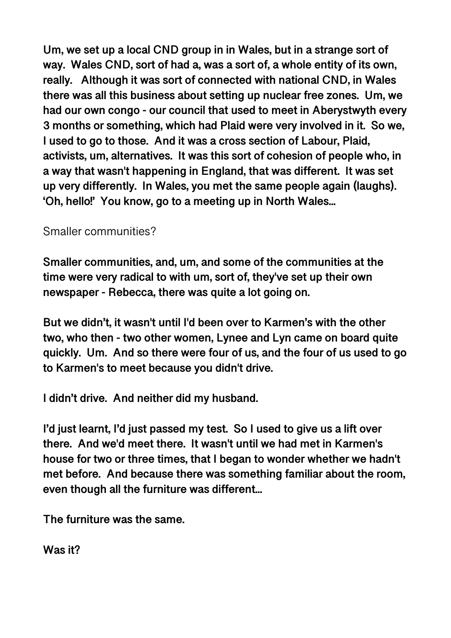**Um, we set up a local CND group in in Wales, but in a strange sort of way. Wales CND, sort of had a, was a sort of, a whole entity of its own, really. Although it was sort of connected with national CND, in Wales there was all this business about setting up nuclear free zones. Um, we had our own congo - our council that used to meet in Aberystwyth every 3 months or something, which had Plaid were very involved in it. So we, I used to go to those. And it was a cross section of Labour, Plaid, activists, um, alternatives. It was this sort of cohesion of people who, in a way that wasn't happening in England, that was different. It was set up very differently. In Wales, you met the same people again (laughs). 'Oh, hello!' You know, go to a meeting up in North Wales...** 

### Smaller communities?

**Smaller communities, and, um, and some of the communities at the time were very radical to with um, sort of, they've set up their own newspaper - Rebecca, there was quite a lot going on.** 

**But we didn't, it wasn't until I'd been over to Karmen's with the other two, who then - two other women, Lynee and Lyn came on board quite quickly. Um. And so there were four of us, and the four of us used to go to Karmen's to meet because you didn't drive.** 

**I didn't drive. And neither did my husband.** 

**I'd just learnt, I'd just passed my test. So I used to give us a lift over there. And we'd meet there. It wasn't until we had met in Karmen's house for two or three times, that I began to wonder whether we hadn't met before. And because there was something familiar about the room, even though all the furniture was different...** 

**The furniture was the same.** 

**Was it?**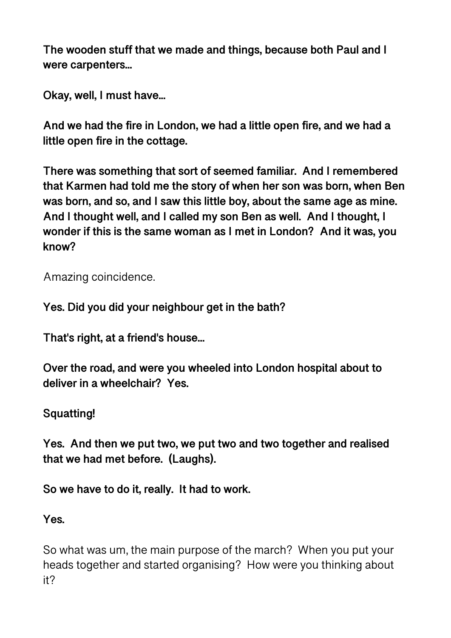**The wooden stuff that we made and things, because both Paul and I were carpenters...** 

**Okay, well, I must have...** 

**And we had the fire in London, we had a little open fire, and we had a little open fire in the cottage.** 

**There was something that sort of seemed familiar. And I remembered that Karmen had told me the story of when her son was born, when Ben was born, and so, and I saw this little boy, about the same age as mine. And I thought well, and I called my son Ben as well. And I thought, I wonder if this is the same woman as I met in London? And it was, you know?** 

Amazing coincidence.

**Yes. Did you did your neighbour get in the bath?** 

**That's right, at a friend's house...** 

**Over the road, and were you wheeled into London hospital about to deliver in a wheelchair? Yes.** 

# **Squatting!**

**Yes. And then we put two, we put two and two together and realised that we had met before. (Laughs).** 

**So we have to do it, really. It had to work.** 

# **Yes.**

So what was um, the main purpose of the march? When you put your heads together and started organising? How were you thinking about it?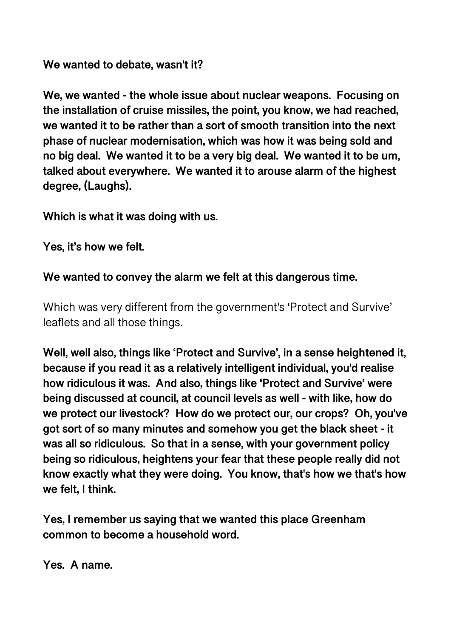**We wanted to debate, wasn't it?** 

**We, we wanted - the whole issue about nuclear weapons. Focusing on the installation of cruise missiles, the point, you know, we had reached, we wanted it to be rather than a sort of smooth transition into the next phase of nuclear modernisation, which was how it was being sold and no big deal. We wanted it to be a very big deal. We wanted it to be um, talked about everywhere. We wanted it to arouse alarm of the highest degree, (Laughs).** 

**Which is what it was doing with us.** 

**Yes, it's how we felt.** 

**We wanted to convey the alarm we felt at this dangerous time.** 

Which was very different from the government's 'Protect and Survive' leaflets and all those things.

**Well, well also, things like 'Protect and Survive', in a sense heightened it, because if you read it as a relatively intelligent individual, you'd realise how ridiculous it was. And also, things like 'Protect and Survive' were being discussed at council, at council levels as well - with like, how do we protect our livestock? How do we protect our, our crops? Oh, you've got sort of so many minutes and somehow you get the black sheet - it was all so ridiculous. So that in a sense, with your government policy being so ridiculous, heightens your fear that these people really did not know exactly what they were doing. You know, that's how we that's how we felt, I think.** 

**Yes, I remember us saying that we wanted this place Greenham common to become a household word.** 

**Yes. A name.**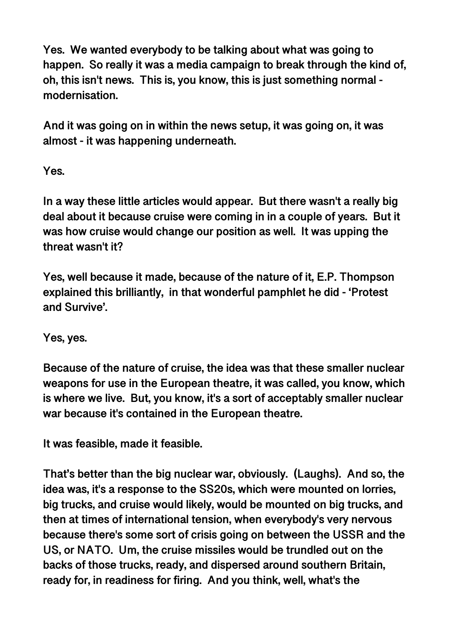**Yes. We wanted everybody to be talking about what was going to happen. So really it was a media campaign to break through the kind of, oh, this isn't news. This is, you know, this is just something normal modernisation.** 

**And it was going on in within the news setup, it was going on, it was almost - it was happening underneath.** 

**Yes.** 

**In a way these little articles would appear. But there wasn't a really big deal about it because cruise were coming in in a couple of years. But it was how cruise would change our position as well. It was upping the threat wasn't it?** 

**Yes, well because it made, because of the nature of it, E.P. Thompson explained this brilliantly, in that wonderful pamphlet he did - 'Protest and Survive'.** 

**Yes, yes.** 

**Because of the nature of cruise, the idea was that these smaller nuclear weapons for use in the European theatre, it was called, you know, which is where we live. But, you know, it's a sort of acceptably smaller nuclear war because it's contained in the European theatre.** 

**It was feasible, made it feasible.** 

**That's better than the big nuclear war, obviously. (Laughs). And so, the idea was, it's a response to the SS20s, which were mounted on lorries, big trucks, and cruise would likely, would be mounted on big trucks, and then at times of international tension, when everybody's very nervous because there's some sort of crisis going on between the USSR and the US, or NATO. Um, the cruise missiles would be trundled out on the backs of those trucks, ready, and dispersed around southern Britain, ready for, in readiness for firing. And you think, well, what's the**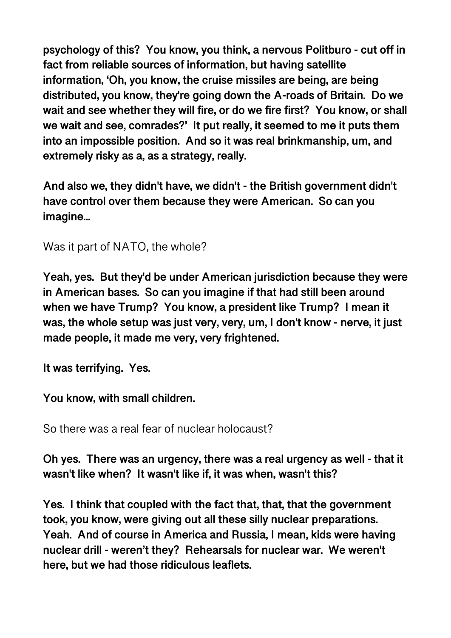**psychology of this? You know, you think, a nervous Politburo - cut off in fact from reliable sources of information, but having satellite information, 'Oh, you know, the cruise missiles are being, are being distributed, you know, they're going down the A-roads of Britain. Do we wait and see whether they will fire, or do we fire first? You know, or shall we wait and see, comrades?' It put really, it seemed to me it puts them into an impossible position. And so it was real brinkmanship, um, and extremely risky as a, as a strategy, really.** 

**And also we, they didn't have, we didn't - the British government didn't have control over them because they were American. So can you imagine...** 

Was it part of NATO, the whole?

**Yeah, yes. But they'd be under American jurisdiction because they were in American bases. So can you imagine if that had still been around when we have Trump? You know, a president like Trump? I mean it was, the whole setup was just very, very, um, I don't know - nerve, it just made people, it made me very, very frightened.** 

**It was terrifying. Yes.** 

**You know, with small children.** 

So there was a real fear of nuclear holocaust?

**Oh yes. There was an urgency, there was a real urgency as well - that it wasn't like when? It wasn't like if, it was when, wasn't this?** 

**Yes. I think that coupled with the fact that, that, that the government took, you know, were giving out all these silly nuclear preparations. Yeah. And of course in America and Russia, I mean, kids were having nuclear drill - weren't they? Rehearsals for nuclear war. We weren't here, but we had those ridiculous leaflets.**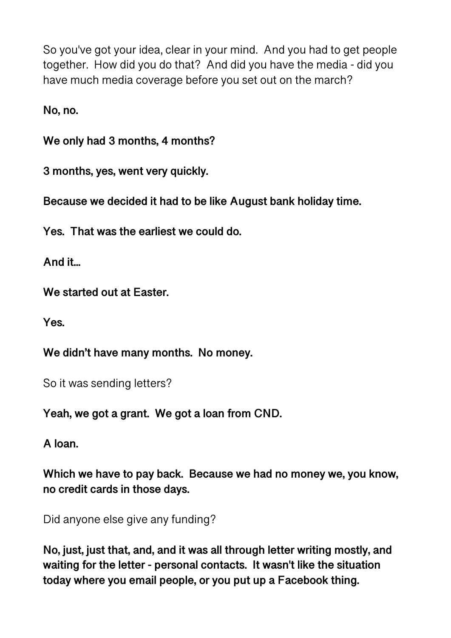So you've got your idea, clear in your mind. And you had to get people together. How did you do that? And did you have the media - did you have much media coverage before you set out on the march?

**No, no.** 

**We only had 3 months, 4 months?** 

**3 months, yes, went very quickly.** 

**Because we decided it had to be like August bank holiday time.** 

**Yes. That was the earliest we could do.** 

**And it...** 

**We started out at Easter.** 

**Yes.** 

**We didn't have many months. No money.** 

So it was sending letters?

**Yeah, we got a grant. We got a loan from CND.** 

**A loan.** 

**Which we have to pay back. Because we had no money we, you know, no credit cards in those days.** 

Did anyone else give any funding?

**No, just, just that, and, and it was all through letter writing mostly, and waiting for the letter - personal contacts. It wasn't like the situation today where you email people, or you put up a Facebook thing.**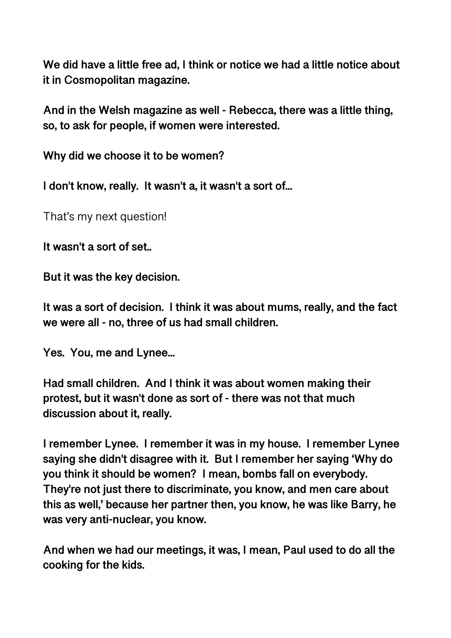**We did have a little free ad, I think or notice we had a little notice about it in Cosmopolitan magazine.** 

**And in the Welsh magazine as well - Rebecca, there was a little thing, so, to ask for people, if women were interested.** 

**Why did we choose it to be women?** 

**I don't know, really. It wasn't a, it wasn't a sort of...** 

That's my next question!

**It wasn't a sort of set..** 

**But it was the key decision.** 

**It was a sort of decision. I think it was about mums, really, and the fact we were all - no, three of us had small children.** 

**Yes. You, me and Lynee...** 

**Had small children. And I think it was about women making their protest, but it wasn't done as sort of - there was not that much discussion about it, really.** 

**I remember Lynee. I remember it was in my house. I remember Lynee saying she didn't disagree with it. But I remember her saying 'Why do you think it should be women? I mean, bombs fall on everybody. They're not just there to discriminate, you know, and men care about this as well,' because her partner then, you know, he was like Barry, he was very anti-nuclear, you know.** 

**And when we had our meetings, it was, I mean, Paul used to do all the cooking for the kids.**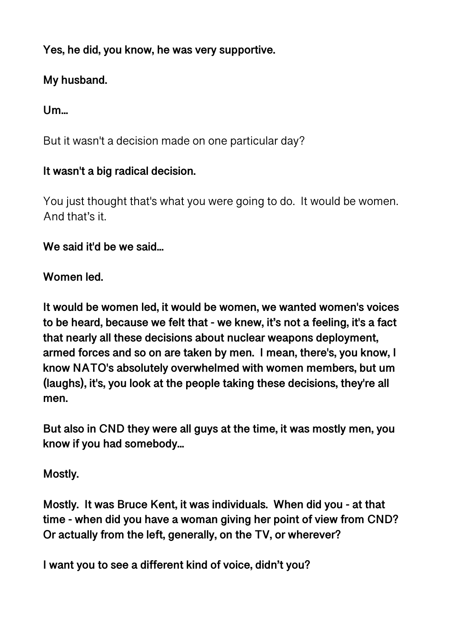**Yes, he did, you know, he was very supportive.** 

# **My husband.**

**Um...** 

But it wasn't a decision made on one particular day?

# **It wasn't a big radical decision.**

You just thought that's what you were going to do. It would be women. And that's it.

**We said it'd be we said...** 

# **Women led.**

**It would be women led, it would be women, we wanted women's voices to be heard, because we felt that - we knew, it's not a feeling, it's a fact that nearly all these decisions about nuclear weapons deployment, armed forces and so on are taken by men. I mean, there's, you know, I know NATO's absolutely overwhelmed with women members, but um (laughs), it's, you look at the people taking these decisions, they're all men.** 

**But also in CND they were all guys at the time, it was mostly men, you know if you had somebody...** 

# **Mostly.**

**Mostly. It was Bruce Kent, it was individuals. When did you - at that time - when did you have a woman giving her point of view from CND? Or actually from the left, generally, on the TV, or wherever?** 

**I want you to see a different kind of voice, didn't you?**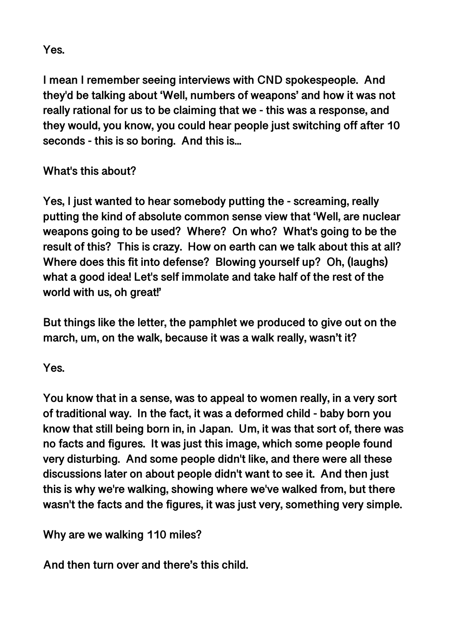**Yes.** 

**I mean I remember seeing interviews with CND spokespeople. And they'd be talking about 'Well, numbers of weapons' and how it was not really rational for us to be claiming that we - this was a response, and they would, you know, you could hear people just switching off after 10 seconds - this is so boring. And this is...** 

# **What's this about?**

**Yes, I just wanted to hear somebody putting the - screaming, really putting the kind of absolute common sense view that 'Well, are nuclear weapons going to be used? Where? On who? What's going to be the result of this? This is crazy. How on earth can we talk about this at all? Where does this fit into defense? Blowing yourself up? Oh, (laughs) what a good idea! Let's self immolate and take half of the rest of the world with us, oh great!'** 

**But things like the letter, the pamphlet we produced to give out on the march, um, on the walk, because it was a walk really, wasn't it?** 

**Yes.** 

**You know that in a sense, was to appeal to women really, in a very sort of traditional way. In the fact, it was a deformed child - baby born you know that still being born in, in Japan. Um, it was that sort of, there was no facts and figures. It was just this image, which some people found very disturbing. And some people didn't like, and there were all these discussions later on about people didn't want to see it. And then just this is why we're walking, showing where we've walked from, but there wasn't the facts and the figures, it was just very, something very simple.** 

**Why are we walking 110 miles?** 

**And then turn over and there's this child.**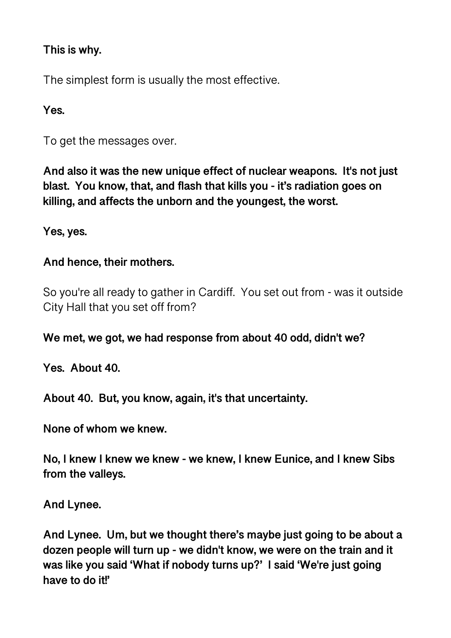### **This is why.**

The simplest form is usually the most effective.

## **Yes.**

To get the messages over.

**And also it was the new unique effect of nuclear weapons. It's not just blast. You know, that, and flash that kills you - it's radiation goes on killing, and affects the unborn and the youngest, the worst.** 

**Yes, yes.** 

### **And hence, their mothers.**

So you're all ready to gather in Cardiff. You set out from - was it outside City Hall that you set off from?

**We met, we got, we had response from about 40 odd, didn't we?** 

**Yes. About 40.** 

**About 40. But, you know, again, it's that uncertainty.** 

**None of whom we knew.** 

**No, I knew I knew we knew - we knew, I knew Eunice, and I knew Sibs from the valleys.** 

**And Lynee.** 

**And Lynee. Um, but we thought there's maybe just going to be about a dozen people will turn up - we didn't know, we were on the train and it was like you said 'What if nobody turns up?' I said 'We're just going have to do it!'**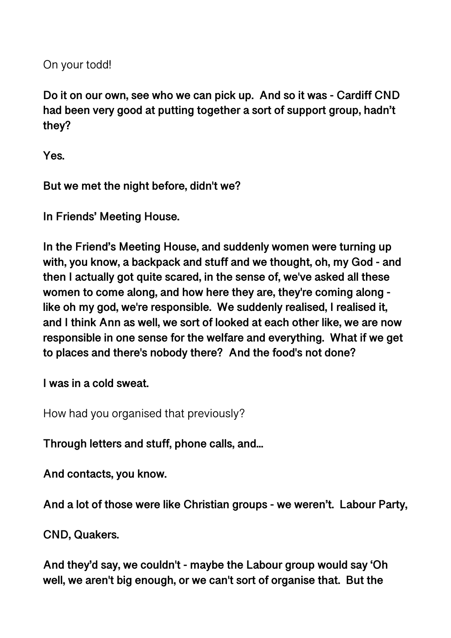On your todd!

**Do it on our own, see who we can pick up. And so it was - Cardiff CND had been very good at putting together a sort of support group, hadn't they?** 

**Yes.** 

**But we met the night before, didn't we?** 

**In Friends' Meeting House.** 

**In the Friend's Meeting House, and suddenly women were turning up with, you know, a backpack and stuff and we thought, oh, my God - and then I actually got quite scared, in the sense of, we've asked all these women to come along, and how here they are, they're coming along like oh my god, we're responsible. We suddenly realised, I realised it, and I think Ann as well, we sort of looked at each other like, we are now responsible in one sense for the welfare and everything. What if we get to places and there's nobody there? And the food's not done?** 

**I was in a cold sweat.** 

How had you organised that previously?

**Through letters and stuff, phone calls, and...** 

**And contacts, you know.** 

**And a lot of those were like Christian groups - we weren't. Labour Party,** 

**CND, Quakers.** 

**And they'd say, we couldn't - maybe the Labour group would say 'Oh well, we aren't big enough, or we can't sort of organise that. But the**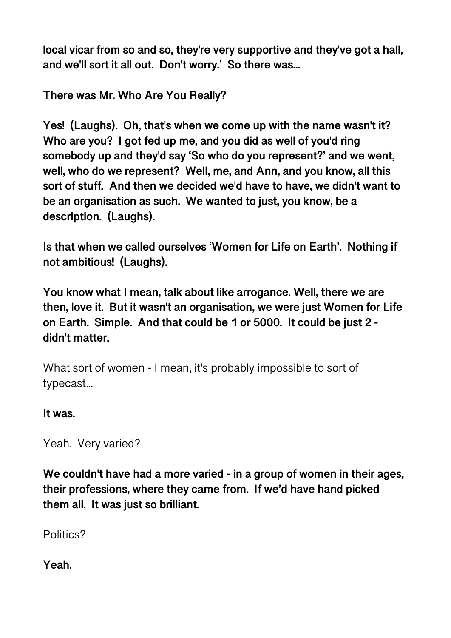**local vicar from so and so, they're very supportive and they've got a hall, and we'll sort it all out. Don't worry.' So there was...** 

**There was Mr. Who Are You Really?** 

**Yes! (Laughs). Oh, that's when we come up with the name wasn't it? Who are you? I got fed up me, and you did as well of you'd ring somebody up and they'd say 'So who do you represent?' and we went, well, who do we represent? Well, me, and Ann, and you know, all this sort of stuff. And then we decided we'd have to have, we didn't want to be an organisation as such. We wanted to just, you know, be a description. (Laughs).** 

**Is that when we called ourselves 'Women for Life on Earth'. Nothing if not ambitious! (Laughs).** 

**You know what I mean, talk about like arrogance. Well, there we are then, love it. But it wasn't an organisation, we were just Women for Life on Earth. Simple. And that could be 1 or 5000. It could be just 2 didn't matter.** 

What sort of women - I mean, it's probably impossible to sort of typecast...

### **It was.**

Yeah. Very varied?

**We couldn't have had a more varied - in a group of women in their ages, their professions, where they came from. If we'd have hand picked them all. It was just so brilliant.** 

Politics?

**Yeah.**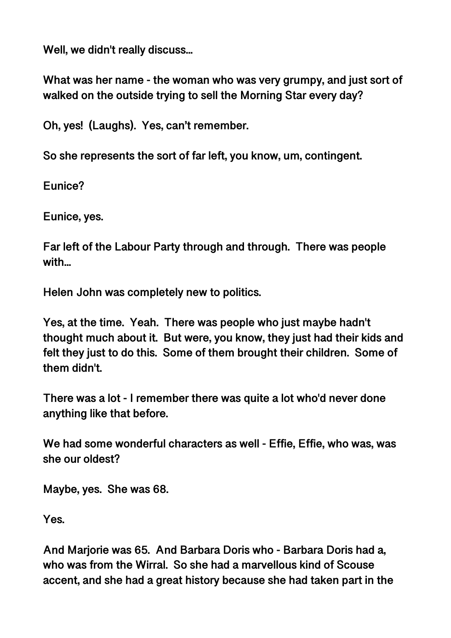**Well, we didn't really discuss...** 

**What was her name - the woman who was very grumpy, and just sort of walked on the outside trying to sell the Morning Star every day?** 

**Oh, yes! (Laughs). Yes, can't remember.** 

**So she represents the sort of far left, you know, um, contingent.** 

**Eunice?** 

**Eunice, yes.** 

**Far left of the Labour Party through and through. There was people with...** 

**Helen John was completely new to politics.** 

**Yes, at the time. Yeah. There was people who just maybe hadn't thought much about it. But were, you know, they just had their kids and felt they just to do this. Some of them brought their children. Some of them didn't.** 

**There was a lot - I remember there was quite a lot who'd never done anything like that before.** 

**We had some wonderful characters as well - Effie, Effie, who was, was she our oldest?** 

**Maybe, yes. She was 68.** 

**Yes.** 

**And Marjorie was 65. And Barbara Doris who - Barbara Doris had a, who was from the Wirral. So she had a marvellous kind of Scouse accent, and she had a great history because she had taken part in the**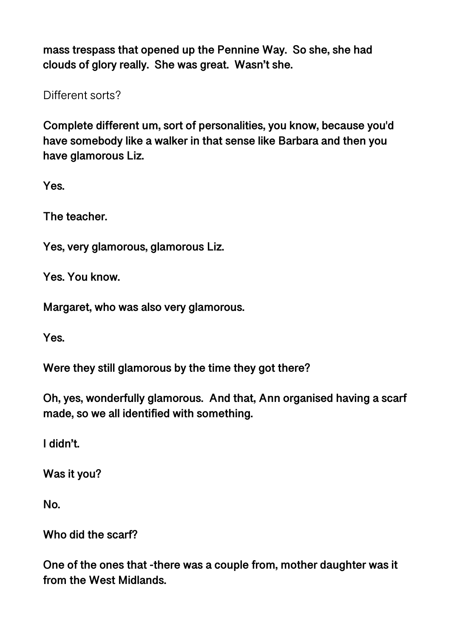**mass trespass that opened up the Pennine Way. So she, she had clouds of glory really. She was great. Wasn't she.** 

Different sorts?

**Complete different um, sort of personalities, you know, because you'd have somebody like a walker in that sense like Barbara and then you have glamorous Liz.** 

**Yes.** 

**The teacher.** 

**Yes, very glamorous, glamorous Liz.** 

**Yes. You know.** 

**Margaret, who was also very glamorous.** 

**Yes.** 

**Were they still glamorous by the time they got there?** 

**Oh, yes, wonderfully glamorous. And that, Ann organised having a scarf made, so we all identified with something.** 

**I didn't.** 

**Was it you?** 

**No.** 

**Who did the scarf?** 

**One of the ones that -there was a couple from, mother daughter was it from the West Midlands.**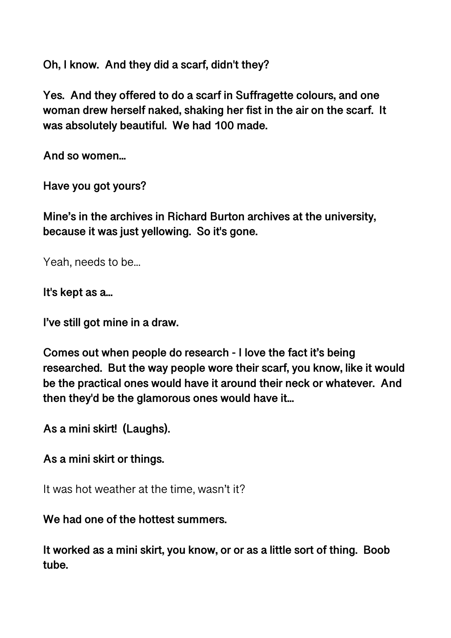**Oh, I know. And they did a scarf, didn't they?** 

**Yes. And they offered to do a scarf in Suffragette colours, and one woman drew herself naked, shaking her fist in the air on the scarf. It was absolutely beautiful. We had 100 made.** 

**And so women...** 

**Have you got yours?** 

**Mine's in the archives in Richard Burton archives at the university, because it was just yellowing. So it's gone.** 

Yeah, needs to be...

**It's kept as a...** 

**I've still got mine in a draw.** 

**Comes out when people do research - I love the fact it's being researched. But the way people wore their scarf, you know, like it would be the practical ones would have it around their neck or whatever. And then they'd be the glamorous ones would have it...** 

**As a mini skirt! (Laughs).** 

**As a mini skirt or things.** 

It was hot weather at the time, wasn't it?

### **We had one of the hottest summers.**

**It worked as a mini skirt, you know, or or as a little sort of thing. Boob tube.**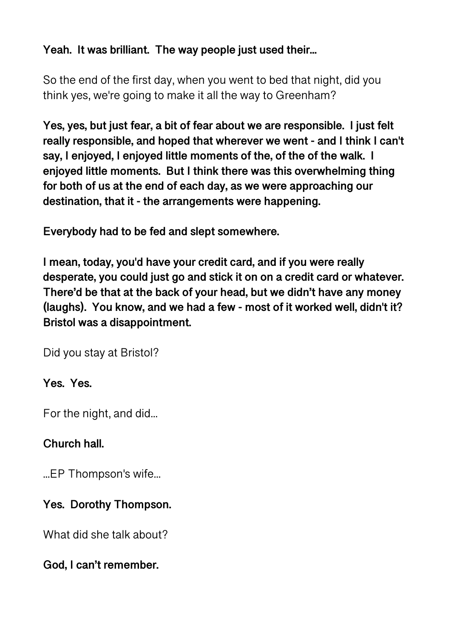# **Yeah. It was brilliant. The way people just used their...**

So the end of the first day, when you went to bed that night, did you think yes, we're going to make it all the way to Greenham?

**Yes, yes, but just fear, a bit of fear about we are responsible. I just felt really responsible, and hoped that wherever we went - and I think I can't say, I enjoyed, I enjoyed little moments of the, of the of the walk. I enjoyed little moments. But I think there was this overwhelming thing for both of us at the end of each day, as we were approaching our destination, that it - the arrangements were happening.** 

**Everybody had to be fed and slept somewhere.** 

**I mean, today, you'd have your credit card, and if you were really desperate, you could just go and stick it on on a credit card or whatever. There'd be that at the back of your head, but we didn't have any money (laughs). You know, and we had a few - most of it worked well, didn't it? Bristol was a disappointment.** 

Did you stay at Bristol?

# **Yes. Yes.**

For the night, and did...

# **Church hall.**

...EP Thompson's wife...

# **Yes. Dorothy Thompson.**

What did she talk about?

**God, I can't remember.**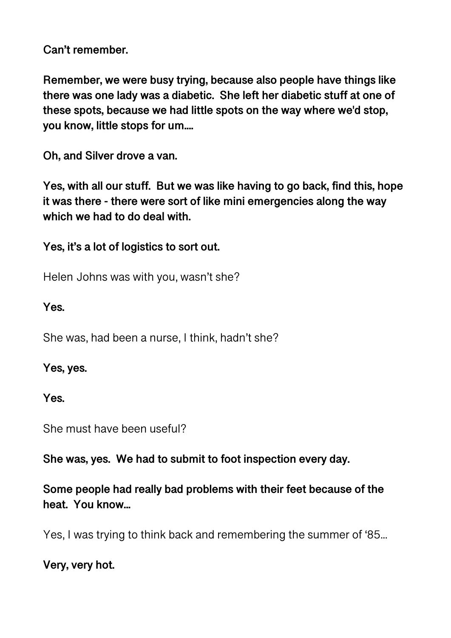**Can't remember.** 

**Remember, we were busy trying, because also people have things like there was one lady was a diabetic. She left her diabetic stuff at one of these spots, because we had little spots on the way where we'd stop, you know, little stops for um....** 

**Oh, and Silver drove a van.** 

**Yes, with all our stuff. But we was like having to go back, find this, hope it was there - there were sort of like mini emergencies along the way which we had to do deal with.** 

**Yes, it's a lot of logistics to sort out.** 

Helen Johns was with you, wasn't she?

**Yes.** 

She was, had been a nurse, I think, hadn't she?

**Yes, yes.** 

**Yes.** 

She must have been useful?

**She was, yes. We had to submit to foot inspection every day.** 

**Some people had really bad problems with their feet because of the heat. You know...** 

Yes, I was trying to think back and remembering the summer of '85...

**Very, very hot.**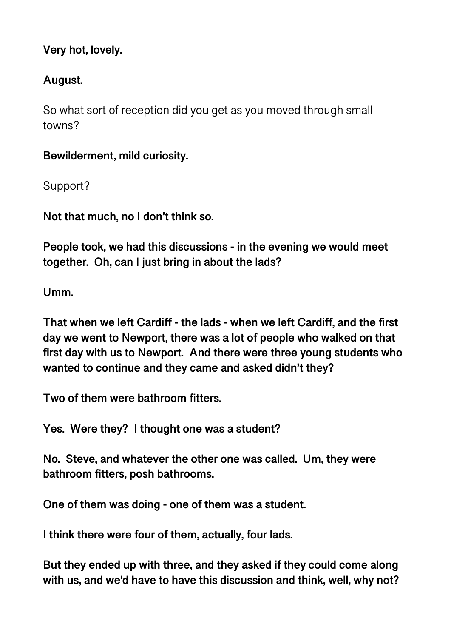# **Very hot, lovely.**

# **August.**

So what sort of reception did you get as you moved through small towns?

**Bewilderment, mild curiosity.** 

Support?

**Not that much, no I don't think so.** 

**People took, we had this discussions - in the evening we would meet together. Oh, can I just bring in about the lads?** 

**Umm.** 

**That when we left Cardiff - the lads - when we left Cardiff, and the first day we went to Newport, there was a lot of people who walked on that first day with us to Newport. And there were three young students who wanted to continue and they came and asked didn't they?** 

**Two of them were bathroom fitters.** 

**Yes. Were they? I thought one was a student?** 

**No. Steve, and whatever the other one was called. Um, they were bathroom fitters, posh bathrooms.** 

**One of them was doing - one of them was a student.** 

**I think there were four of them, actually, four lads.** 

**But they ended up with three, and they asked if they could come along with us, and we'd have to have this discussion and think, well, why not?**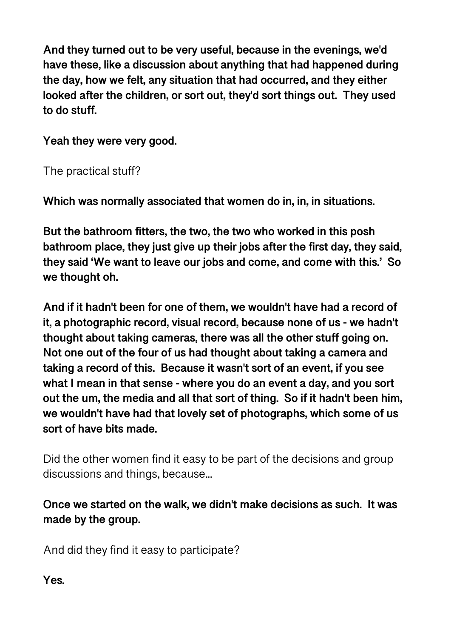**And they turned out to be very useful, because in the evenings, we'd have these, like a discussion about anything that had happened during the day, how we felt, any situation that had occurred, and they either looked after the children, or sort out, they'd sort things out. They used to do stuff.** 

**Yeah they were very good.** 

The practical stuff?

**Which was normally associated that women do in, in, in situations.** 

**But the bathroom fitters, the two, the two who worked in this posh bathroom place, they just give up their jobs after the first day, they said, they said 'We want to leave our jobs and come, and come with this.' So we thought oh.** 

**And if it hadn't been for one of them, we wouldn't have had a record of it, a photographic record, visual record, because none of us - we hadn't thought about taking cameras, there was all the other stuff going on. Not one out of the four of us had thought about taking a camera and taking a record of this. Because it wasn't sort of an event, if you see what I mean in that sense - where you do an event a day, and you sort out the um, the media and all that sort of thing. So if it hadn't been him, we wouldn't have had that lovely set of photographs, which some of us sort of have bits made.** 

Did the other women find it easy to be part of the decisions and group discussions and things, because...

**Once we started on the walk, we didn't make decisions as such. It was made by the group.** 

And did they find it easy to participate?

**Yes.**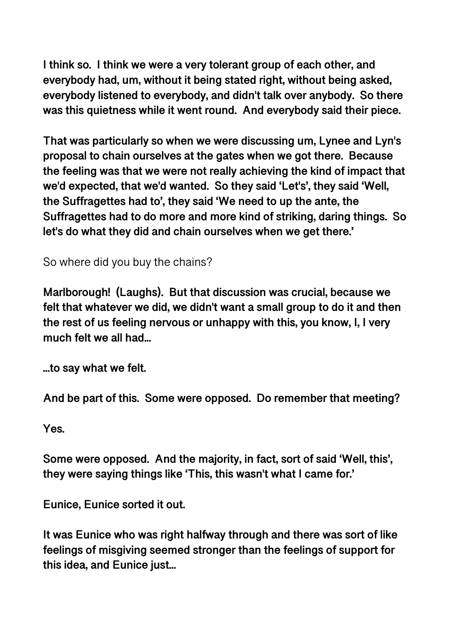**I think so. I think we were a very tolerant group of each other, and everybody had, um, without it being stated right, without being asked, everybody listened to everybody, and didn't talk over anybody. So there was this quietness while it went round. And everybody said their piece.** 

**That was particularly so when we were discussing um, Lynee and Lyn's proposal to chain ourselves at the gates when we got there. Because the feeling was that we were not really achieving the kind of impact that we'd expected, that we'd wanted. So they said 'Let's', they said 'Well, the Suffragettes had to', they said 'We need to up the ante, the Suffragettes had to do more and more kind of striking, daring things. So let's do what they did and chain ourselves when we get there.'** 

So where did you buy the chains?

**Marlborough! (Laughs). But that discussion was crucial, because we felt that whatever we did, we didn't want a small group to do it and then the rest of us feeling nervous or unhappy with this, you know, I, I very much felt we all had...** 

**...to say what we felt.** 

**And be part of this. Some were opposed. Do remember that meeting?** 

**Yes.** 

**Some were opposed. And the majority, in fact, sort of said 'Well, this', they were saying things like 'This, this wasn't what I came for.'** 

**Eunice, Eunice sorted it out.** 

**It was Eunice who was right halfway through and there was sort of like feelings of misgiving seemed stronger than the feelings of support for this idea, and Eunice just...**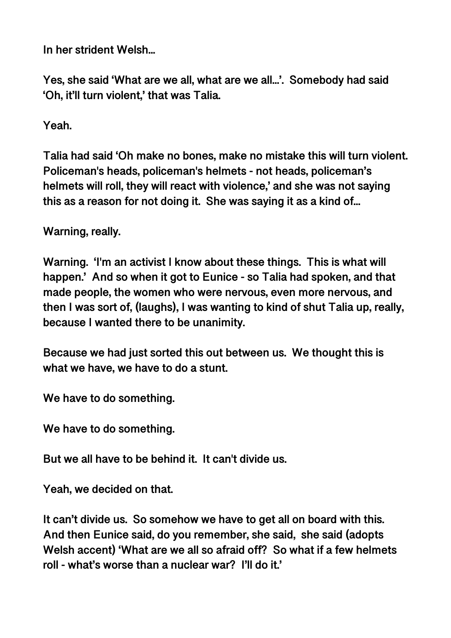**In her strident Welsh...** 

**Yes, she said 'What are we all, what are we all...'. Somebody had said 'Oh, it'll turn violent,' that was Talia.** 

**Yeah.** 

**Talia had said 'Oh make no bones, make no mistake this will turn violent. Policeman's heads, policeman's helmets - not heads, policeman's helmets will roll, they will react with violence,' and she was not saying this as a reason for not doing it. She was saying it as a kind of...** 

**Warning, really.**

**Warning. 'I'm an activist I know about these things. This is what will happen.' And so when it got to Eunice - so Talia had spoken, and that made people, the women who were nervous, even more nervous, and then I was sort of, (laughs), I was wanting to kind of shut Talia up, really, because I wanted there to be unanimity.** 

**Because we had just sorted this out between us. We thought this is what we have, we have to do a stunt.** 

**We have to do something.** 

**We have to do something.** 

**But we all have to be behind it. It can't divide us.** 

**Yeah, we decided on that.** 

**It can't divide us. So somehow we have to get all on board with this. And then Eunice said, do you remember, she said, she said (adopts Welsh accent) 'What are we all so afraid off? So what if a few helmets roll - what's worse than a nuclear war? I'll do it.'**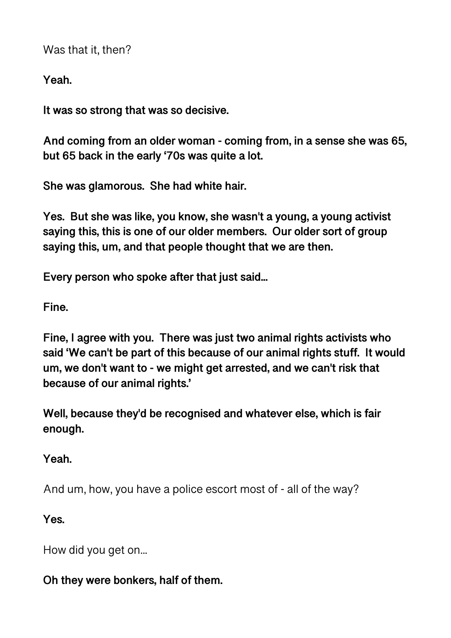Was that it, then?

**Yeah.** 

**It was so strong that was so decisive.** 

**And coming from an older woman - coming from, in a sense she was 65, but 65 back in the early '70s was quite a lot.** 

**She was glamorous. She had white hair.** 

**Yes. But she was like, you know, she wasn't a young, a young activist saying this, this is one of our older members. Our older sort of group saying this, um, and that people thought that we are then.** 

**Every person who spoke after that just said...** 

**Fine.** 

**Fine, I agree with you. There was just two animal rights activists who said 'We can't be part of this because of our animal rights stuff. It would um, we don't want to - we might get arrested, and we can't risk that because of our animal rights.'** 

**Well, because they'd be recognised and whatever else, which is fair enough.** 

**Yeah.** 

And um, how, you have a police escort most of - all of the way?

**Yes.** 

How did you get on...

### **Oh they were bonkers, half of them.**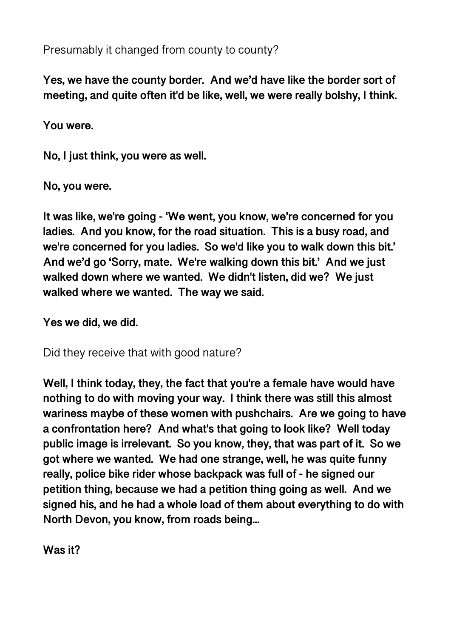Presumably it changed from county to county?

**Yes, we have the county border. And we'd have like the border sort of meeting, and quite often it'd be like, well, we were really bolshy, I think.** 

**You were.** 

**No, I just think, you were as well.** 

**No, you were.** 

**It was like, we're going - 'We went, you know, we're concerned for you ladies. And you know, for the road situation. This is a busy road, and we're concerned for you ladies. So we'd like you to walk down this bit.' And we'd go 'Sorry, mate. We're walking down this bit.' And we just walked down where we wanted. We didn't listen, did we? We just walked where we wanted. The way we said.** 

**Yes we did, we did.** 

Did they receive that with good nature?

**Well, I think today, they, the fact that you're a female have would have nothing to do with moving your way. I think there was still this almost wariness maybe of these women with pushchairs. Are we going to have a confrontation here? And what's that going to look like? Well today public image is irrelevant. So you know, they, that was part of it. So we got where we wanted. We had one strange, well, he was quite funny really, police bike rider whose backpack was full of - he signed our petition thing, because we had a petition thing going as well. And we signed his, and he had a whole load of them about everything to do with North Devon, you know, from roads being...** 

**Was it?**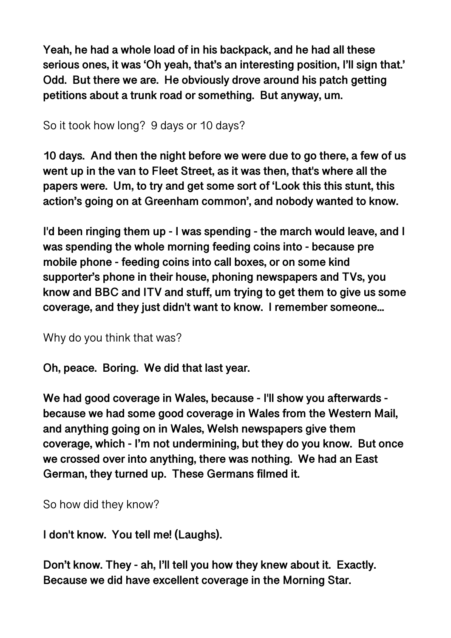**Yeah, he had a whole load of in his backpack, and he had all these serious ones, it was 'Oh yeah, that's an interesting position, I'll sign that.' Odd. But there we are. He obviously drove around his patch getting petitions about a trunk road or something. But anyway, um.** 

So it took how long? 9 days or 10 days?

**10 days. And then the night before we were due to go there, a few of us went up in the van to Fleet Street, as it was then, that's where all the papers were. Um, to try and get some sort of 'Look this this stunt, this action's going on at Greenham common', and nobody wanted to know.** 

**I'd been ringing them up - I was spending - the march would leave, and I was spending the whole morning feeding coins into - because pre mobile phone - feeding coins into call boxes, or on some kind supporter's phone in their house, phoning newspapers and TVs, you know and BBC and ITV and stuff, um trying to get them to give us some coverage, and they just didn't want to know. I remember someone...** 

Why do you think that was?

**Oh, peace. Boring. We did that last year.** 

**We had good coverage in Wales, because - I'll show you afterwards because we had some good coverage in Wales from the Western Mail, and anything going on in Wales, Welsh newspapers give them coverage, which - I'm not undermining, but they do you know. But once we crossed over into anything, there was nothing. We had an East German, they turned up. These Germans filmed it.** 

So how did they know?

**I don't know. You tell me! (Laughs).** 

**Don't know. They - ah, I'll tell you how they knew about it. Exactly. Because we did have excellent coverage in the Morning Star.**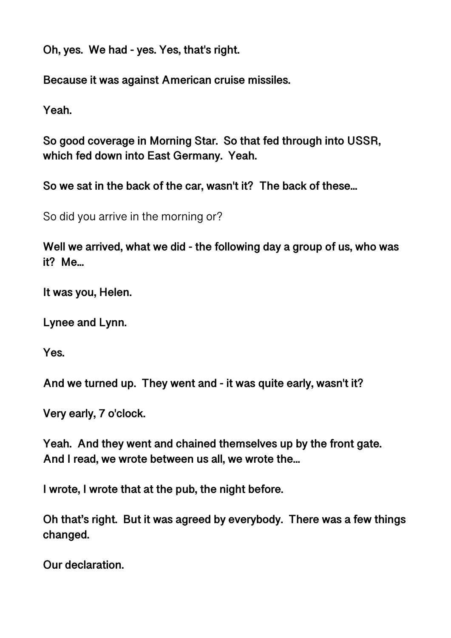**Oh, yes. We had - yes. Yes, that's right.** 

**Because it was against American cruise missiles.** 

**Yeah.** 

**So good coverage in Morning Star. So that fed through into USSR, which fed down into East Germany. Yeah.** 

**So we sat in the back of the car, wasn't it? The back of these...** 

So did you arrive in the morning or?

**Well we arrived, what we did - the following day a group of us, who was it? Me...** 

**It was you, Helen.** 

**Lynee and Lynn.** 

**Yes.** 

**And we turned up. They went and - it was quite early, wasn't it?** 

**Very early, 7 o'clock.** 

**Yeah. And they went and chained themselves up by the front gate. And I read, we wrote between us all, we wrote the...** 

**I wrote, I wrote that at the pub, the night before.** 

**Oh that's right. But it was agreed by everybody. There was a few things changed.** 

**Our declaration.**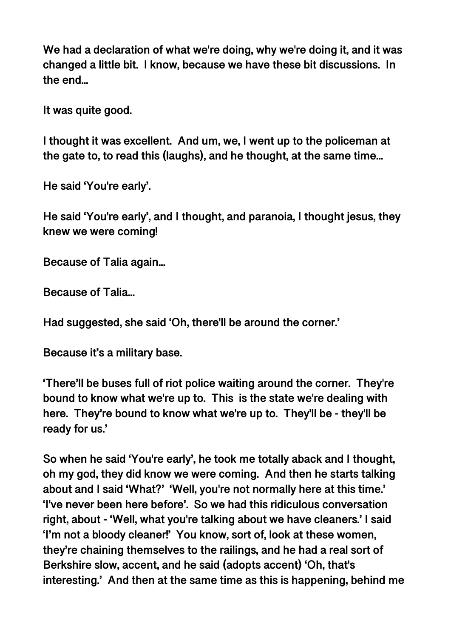**We had a declaration of what we're doing, why we're doing it, and it was changed a little bit. I know, because we have these bit discussions. In the end...** 

**It was quite good.** 

**I thought it was excellent. And um, we, I went up to the policeman at the gate to, to read this (laughs), and he thought, at the same time...** 

**He said 'You're early'.** 

**He said 'You're early', and I thought, and paranoia, I thought jesus, they knew we were coming!** 

**Because of Talia again...** 

**Because of Talia...** 

**Had suggested, she said 'Oh, there'll be around the corner.'** 

**Because it's a military base.** 

**'There'll be buses full of riot police waiting around the corner. They're bound to know what we're up to. This is the state we're dealing with here. They're bound to know what we're up to. They'll be - they'll be ready for us.'** 

**So when he said 'You're early', he took me totally aback and I thought, oh my god, they did know we were coming. And then he starts talking about and I said 'What?' 'Well, you're not normally here at this time.' 'I've never been here before'. So we had this ridiculous conversation right, about - 'Well, what you're talking about we have cleaners.' I said 'I'm not a bloody cleaner!' You know, sort of, look at these women, they're chaining themselves to the railings, and he had a real sort of Berkshire slow, accent, and he said (adopts accent) 'Oh, that's interesting.' And then at the same time as this is happening, behind me**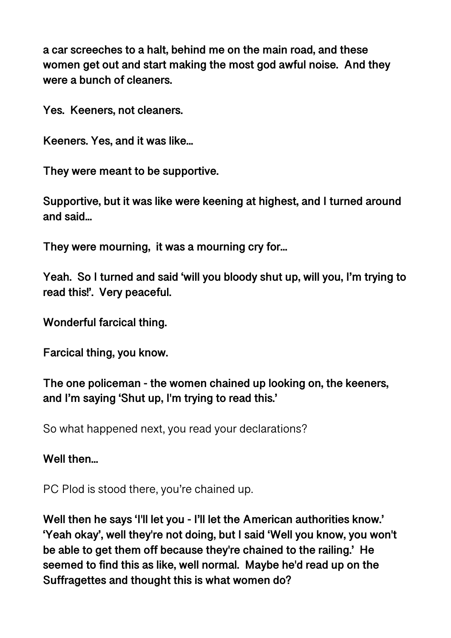**a car screeches to a halt, behind me on the main road, and these women get out and start making the most god awful noise. And they were a bunch of cleaners.** 

**Yes. Keeners, not cleaners.** 

**Keeners. Yes, and it was like...** 

**They were meant to be supportive.** 

**Supportive, but it was like were keening at highest, and I turned around and said...** 

**They were mourning, it was a mourning cry for...** 

**Yeah. So I turned and said 'will you bloody shut up, will you, I'm trying to read this!'. Very peaceful.** 

**Wonderful farcical thing.** 

**Farcical thing, you know.** 

**The one policeman - the women chained up looking on, the keeners, and I'm saying 'Shut up, I'm trying to read this.'** 

So what happened next, you read your declarations?

**Well then...** 

PC Plod is stood there, you're chained up.

**Well then he says 'I'll let you - I'll let the American authorities know.' 'Yeah okay', well they're not doing, but I said 'Well you know, you won't be able to get them off because they're chained to the railing.' He seemed to find this as like, well normal. Maybe he'd read up on the Suffragettes and thought this is what women do?**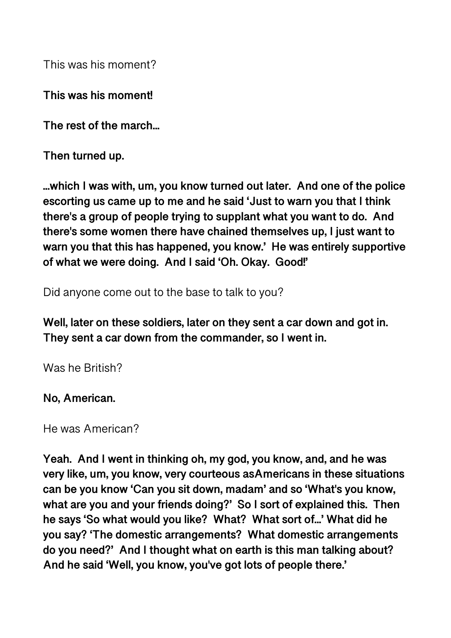This was his moment?

**This was his moment!** 

**The rest of the march...** 

**Then turned up.** 

**...which I was with, um, you know turned out later. And one of the police escorting us came up to me and he said 'Just to warn you that I think there's a group of people trying to supplant what you want to do. And there's some women there have chained themselves up, I just want to warn you that this has happened, you know.' He was entirely supportive of what we were doing. And I said 'Oh. Okay. Good!'** 

Did anyone come out to the base to talk to you?

**Well, later on these soldiers, later on they sent a car down and got in. They sent a car down from the commander, so I went in.** 

Was he British?

#### **No, American.**

He was American?

**Yeah. And I went in thinking oh, my god, you know, and, and he was very like, um, you know, very courteous asAmericans in these situations can be you know 'Can you sit down, madam' and so 'What's you know, what are you and your friends doing?' So I sort of explained this. Then he says 'So what would you like? What? What sort of...' What did he you say? 'The domestic arrangements? What domestic arrangements do you need?' And I thought what on earth is this man talking about? And he said 'Well, you know, you've got lots of people there.'**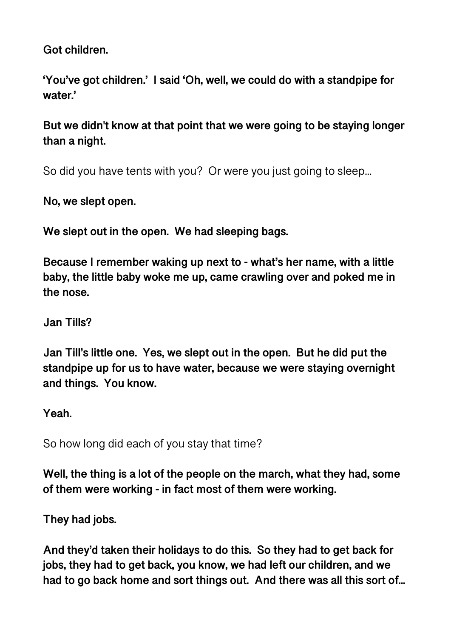**Got children.** 

**'You've got children.' I said 'Oh, well, we could do with a standpipe for water.'** 

**But we didn't know at that point that we were going to be staying longer than a night.** 

So did you have tents with you? Or were you just going to sleep...

**No, we slept open.** 

**We slept out in the open. We had sleeping bags.** 

**Because I remember waking up next to - what's her name, with a little baby, the little baby woke me up, came crawling over and poked me in the nose.** 

**Jan Tills?** 

**Jan Till's little one. Yes, we slept out in the open. But he did put the standpipe up for us to have water, because we were staying overnight and things. You know.** 

**Yeah.** 

So how long did each of you stay that time?

**Well, the thing is a lot of the people on the march, what they had, some of them were working - in fact most of them were working.** 

**They had jobs.** 

**And they'd taken their holidays to do this. So they had to get back for jobs, they had to get back, you know, we had left our children, and we had to go back home and sort things out. And there was all this sort of...**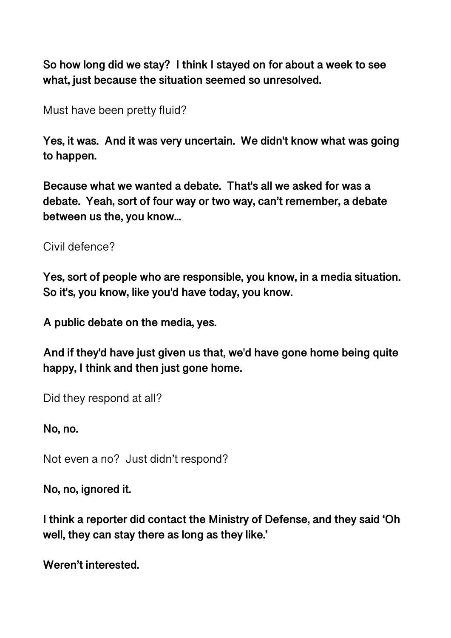**So how long did we stay? I think I stayed on for about a week to see what, just because the situation seemed so unresolved.** 

Must have been pretty fluid?

**Yes, it was. And it was very uncertain. We didn't know what was going to happen.** 

**Because what we wanted a debate. That's all we asked for was a debate. Yeah, sort of four way or two way, can't remember, a debate between us the, you know...** 

Civil defence?

**Yes, sort of people who are responsible, you know, in a media situation. So it's, you know, like you'd have today, you know.** 

**A public debate on the media, yes.** 

**And if they'd have just given us that, we'd have gone home being quite happy, I think and then just gone home.** 

Did they respond at all?

**No, no.** 

Not even a no? Just didn't respond?

**No, no, ignored it.** 

**I think a reporter did contact the Ministry of Defense, and they said 'Oh well, they can stay there as long as they like.'** 

**Weren't interested.**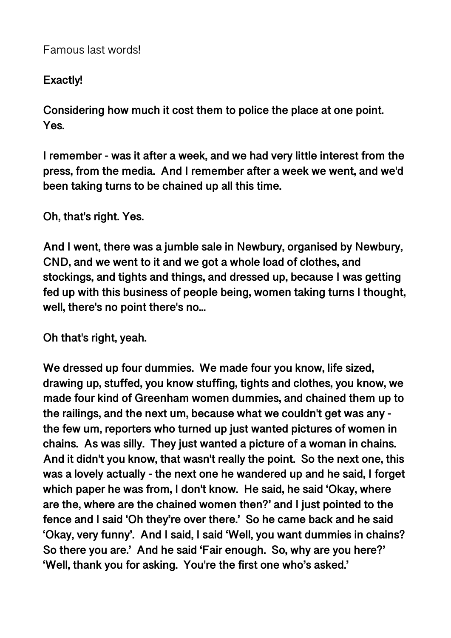# **Exactly!**

**Considering how much it cost them to police the place at one point. Yes.** 

**I remember - was it after a week, and we had very little interest from the press, from the media. And I remember after a week we went, and we'd been taking turns to be chained up all this time.** 

**Oh, that's right. Yes.** 

**And I went, there was a jumble sale in Newbury, organised by Newbury, CND, and we went to it and we got a whole load of clothes, and stockings, and tights and things, and dressed up, because I was getting fed up with this business of people being, women taking turns I thought, well, there's no point there's no...** 

**Oh that's right, yeah.** 

**We dressed up four dummies. We made four you know, life sized, drawing up, stuffed, you know stuffing, tights and clothes, you know, we made four kind of Greenham women dummies, and chained them up to the railings, and the next um, because what we couldn't get was any the few um, reporters who turned up just wanted pictures of women in chains. As was silly. They just wanted a picture of a woman in chains. And it didn't you know, that wasn't really the point. So the next one, this was a lovely actually - the next one he wandered up and he said, I forget which paper he was from, I don't know. He said, he said 'Okay, where are the, where are the chained women then?' and I just pointed to the fence and I said 'Oh they're over there.' So he came back and he said 'Okay, very funny'. And I said, I said 'Well, you want dummies in chains? So there you are.' And he said 'Fair enough. So, why are you here?' 'Well, thank you for asking. You're the first one who's asked.'**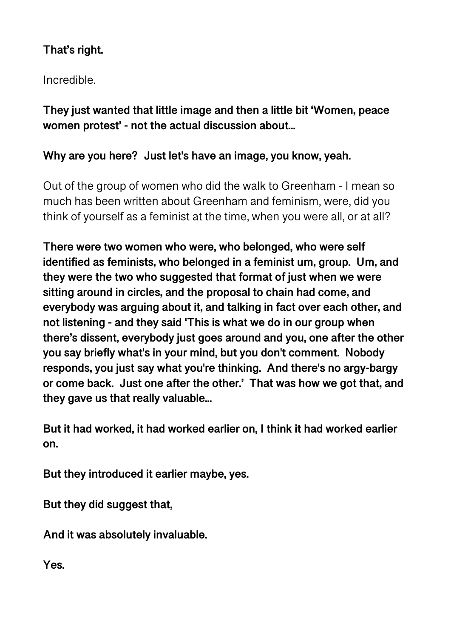# **That's right.**

Incredible.

**They just wanted that little image and then a little bit 'Women, peace women protest' - not the actual discussion about...** 

### **Why are you here? Just let's have an image, you know, yeah.**

Out of the group of women who did the walk to Greenham - I mean so much has been written about Greenham and feminism, were, did you think of yourself as a feminist at the time, when you were all, or at all?

**There were two women who were, who belonged, who were self identified as feminists, who belonged in a feminist um, group. Um, and they were the two who suggested that format of just when we were sitting around in circles, and the proposal to chain had come, and everybody was arguing about it, and talking in fact over each other, and not listening - and they said 'This is what we do in our group when there's dissent, everybody just goes around and you, one after the other you say briefly what's in your mind, but you don't comment. Nobody responds, you just say what you're thinking. And there's no argy-bargy or come back. Just one after the other.' That was how we got that, and they gave us that really valuable...** 

**But it had worked, it had worked earlier on, I think it had worked earlier on.** 

**But they introduced it earlier maybe, yes.** 

**But they did suggest that,** 

**And it was absolutely invaluable.** 

**Yes.**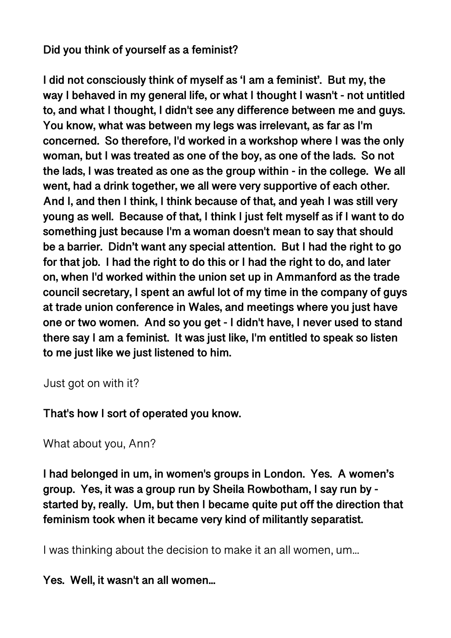## **Did you think of yourself as a feminist?**

**I did not consciously think of myself as 'I am a feminist'. But my, the way I behaved in my general life, or what I thought I wasn't - not untitled to, and what I thought, I didn't see any difference between me and guys. You know, what was between my legs was irrelevant, as far as I'm concerned. So therefore, I'd worked in a workshop where I was the only woman, but I was treated as one of the boy, as one of the lads. So not the lads, I was treated as one as the group within - in the college. We all went, had a drink together, we all were very supportive of each other. And I, and then I think, I think because of that, and yeah I was still very young as well. Because of that, I think I just felt myself as if I want to do something just because I'm a woman doesn't mean to say that should be a barrier. Didn't want any special attention. But I had the right to go for that job. I had the right to do this or I had the right to do, and later on, when I'd worked within the union set up in Ammanford as the trade council secretary, I spent an awful lot of my time in the company of guys at trade union conference in Wales, and meetings where you just have one or two women. And so you get - I didn't have, I never used to stand there say I am a feminist. It was just like, I'm entitled to speak so listen to me just like we just listened to him.** 

Just got on with it?

**That's how I sort of operated you know.** 

```
What about you, Ann?
```
**I had belonged in um, in women's groups in London. Yes. A women's group. Yes, it was a group run by Sheila Rowbotham, I say run by started by, really. Um, but then I became quite put off the direction that feminism took when it became very kind of militantly separatist.** 

I was thinking about the decision to make it an all women, um...

**Yes. Well, it wasn't an all women...**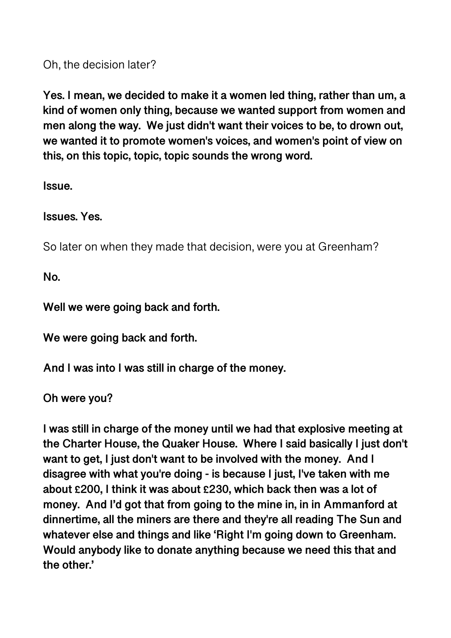Oh, the decision later?

**Yes. I mean, we decided to make it a women led thing, rather than um, a kind of women only thing, because we wanted support from women and men along the way. We just didn't want their voices to be, to drown out, we wanted it to promote women's voices, and women's point of view on this, on this topic, topic, topic sounds the wrong word.** 

**Issue.** 

**Issues. Yes.** 

So later on when they made that decision, were you at Greenham?

**No.** 

**Well we were going back and forth.** 

**We were going back and forth.** 

**And I was into I was still in charge of the money.** 

**Oh were you?** 

**I was still in charge of the money until we had that explosive meeting at the Charter House, the Quaker House. Where I said basically I just don't want to get, I just don't want to be involved with the money. And I disagree with what you're doing - is because I just, I've taken with me about £200, I think it was about £230, which back then was a lot of money. And I'd got that from going to the mine in, in in Ammanford at dinnertime, all the miners are there and they're all reading The Sun and whatever else and things and like 'Right I'm going down to Greenham. Would anybody like to donate anything because we need this that and the other.'**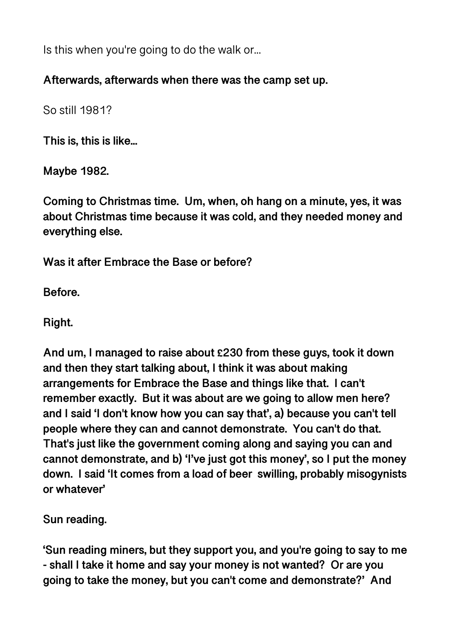Is this when you're going to do the walk or...

### **Afterwards, afterwards when there was the camp set up.**

So still 1981?

**This is, this is like...** 

**Maybe 1982.** 

**Coming to Christmas time. Um, when, oh hang on a minute, yes, it was about Christmas time because it was cold, and they needed money and everything else.** 

**Was it after Embrace the Base or before?** 

**Before.** 

**Right.** 

**And um, I managed to raise about £230 from these guys, took it down and then they start talking about, I think it was about making arrangements for Embrace the Base and things like that. I can't remember exactly. But it was about are we going to allow men here? and I said 'I don't know how you can say that', a) because you can't tell people where they can and cannot demonstrate. You can't do that. That's just like the government coming along and saying you can and cannot demonstrate, and b) 'I've just got this money', so I put the money down. I said 'It comes from a load of beer swilling, probably misogynists or whatever'** 

**Sun reading.** 

**'Sun reading miners, but they support you, and you're going to say to me - shall I take it home and say your money is not wanted? Or are you going to take the money, but you can't come and demonstrate?' And**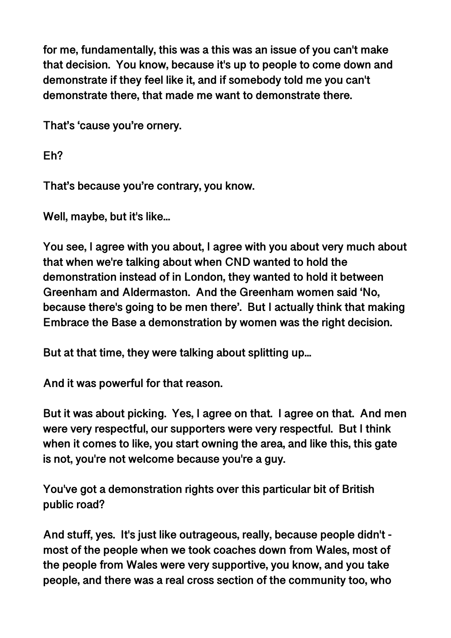**for me, fundamentally, this was a this was an issue of you can't make that decision. You know, because it's up to people to come down and demonstrate if they feel like it, and if somebody told me you can't demonstrate there, that made me want to demonstrate there.** 

**That's 'cause you're ornery.** 

**Eh?** 

**That's because you're contrary, you know.** 

**Well, maybe, but it's like...** 

**You see, I agree with you about, I agree with you about very much about that when we're talking about when CND wanted to hold the demonstration instead of in London, they wanted to hold it between Greenham and Aldermaston. And the Greenham women said 'No, because there's going to be men there'. But I actually think that making Embrace the Base a demonstration by women was the right decision.** 

**But at that time, they were talking about splitting up...** 

**And it was powerful for that reason.** 

**But it was about picking. Yes, I agree on that. I agree on that. And men were very respectful, our supporters were very respectful. But I think when it comes to like, you start owning the area, and like this, this gate is not, you're not welcome because you're a guy.** 

**You've got a demonstration rights over this particular bit of British public road?** 

**And stuff, yes. It's just like outrageous, really, because people didn't most of the people when we took coaches down from Wales, most of the people from Wales were very supportive, you know, and you take people, and there was a real cross section of the community too, who**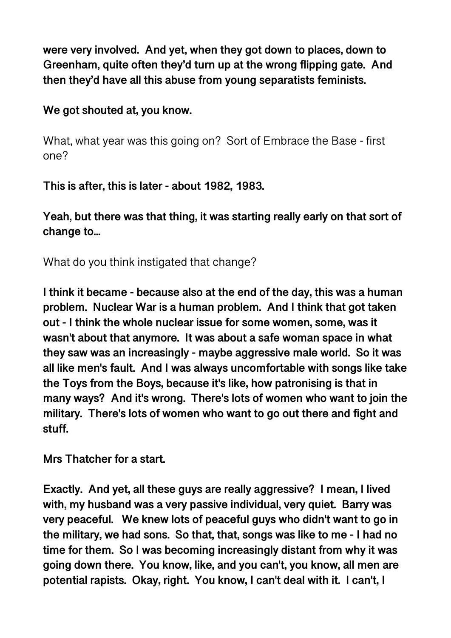**were very involved. And yet, when they got down to places, down to Greenham, quite often they'd turn up at the wrong flipping gate. And then they'd have all this abuse from young separatists feminists.** 

**We got shouted at, you know.** 

What, what year was this going on? Sort of Embrace the Base - first one?

**This is after, this is later - about 1982, 1983.** 

**Yeah, but there was that thing, it was starting really early on that sort of change to...** 

What do you think instigated that change?

**I think it became - because also at the end of the day, this was a human problem. Nuclear War is a human problem. And I think that got taken out - I think the whole nuclear issue for some women, some, was it wasn't about that anymore. It was about a safe woman space in what they saw was an increasingly - maybe aggressive male world. So it was all like men's fault. And I was always uncomfortable with songs like take the Toys from the Boys, because it's like, how patronising is that in many ways? And it's wrong. There's lots of women who want to join the military. There's lots of women who want to go out there and fight and stuff.** 

**Mrs Thatcher for a start.** 

**Exactly. And yet, all these guys are really aggressive? I mean, I lived with, my husband was a very passive individual, very quiet. Barry was very peaceful. We knew lots of peaceful guys who didn't want to go in the military, we had sons. So that, that, songs was like to me - I had no time for them. So I was becoming increasingly distant from why it was going down there. You know, like, and you can't, you know, all men are potential rapists. Okay, right. You know, I can't deal with it. I can't, I**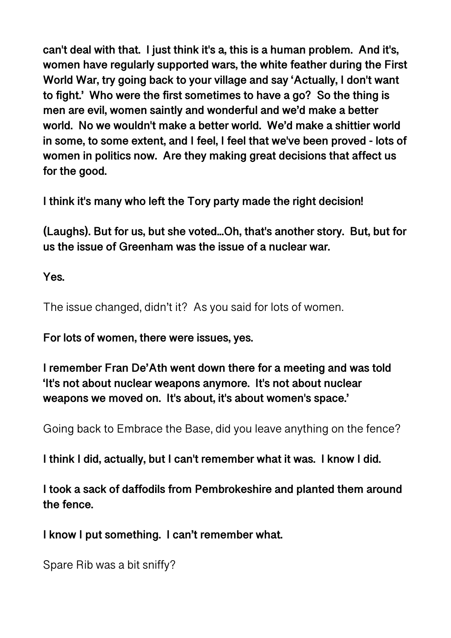**can't deal with that. I just think it's a, this is a human problem. And it's, women have regularly supported wars, the white feather during the First World War, try going back to your village and say 'Actually, I don't want to fight.' Who were the first sometimes to have a go? So the thing is men are evil, women saintly and wonderful and we'd make a better world. No we wouldn't make a better world. We'd make a shittier world in some, to some extent, and I feel, I feel that we've been proved - lots of women in politics now. Are they making great decisions that affect us for the good.** 

**I think it's many who left the Tory party made the right decision!** 

**(Laughs). But for us, but she voted...Oh, that's another story. But, but for us the issue of Greenham was the issue of a nuclear war.** 

**Yes.** 

The issue changed, didn't it? As you said for lots of women.

**For lots of women, there were issues, yes.** 

**I remember Fran De'Ath went down there for a meeting and was told 'It's not about nuclear weapons anymore. It's not about nuclear weapons we moved on. It's about, it's about women's space.'** 

Going back to Embrace the Base, did you leave anything on the fence?

**I think I did, actually, but I can't remember what it was. I know I did.** 

**I took a sack of daffodils from Pembrokeshire and planted them around the fence.** 

**I know I put something. I can't remember what.** 

Spare Rib was a bit sniffy?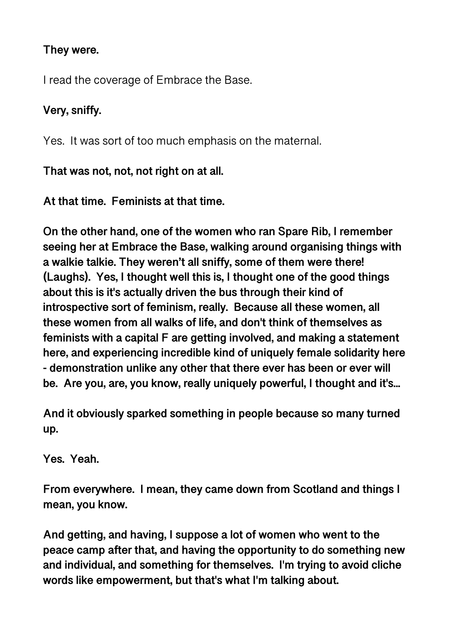## **They were.**

I read the coverage of Embrace the Base.

# **Very, sniffy.**

Yes. It was sort of too much emphasis on the maternal.

**That was not, not, not right on at all.** 

**At that time. Feminists at that time.** 

**On the other hand, one of the women who ran Spare Rib, I remember seeing her at Embrace the Base, walking around organising things with a walkie talkie. They weren't all sniffy, some of them were there! (Laughs). Yes, I thought well this is, I thought one of the good things about this is it's actually driven the bus through their kind of introspective sort of feminism, really. Because all these women, all these women from all walks of life, and don't think of themselves as feminists with a capital F are getting involved, and making a statement here, and experiencing incredible kind of uniquely female solidarity here - demonstration unlike any other that there ever has been or ever will be. Are you, are, you know, really uniquely powerful, I thought and it's...** 

**And it obviously sparked something in people because so many turned up.** 

**Yes. Yeah.** 

**From everywhere. I mean, they came down from Scotland and things I mean, you know.** 

**And getting, and having, I suppose a lot of women who went to the peace camp after that, and having the opportunity to do something new and individual, and something for themselves. I'm trying to avoid cliche words like empowerment, but that's what I'm talking about.**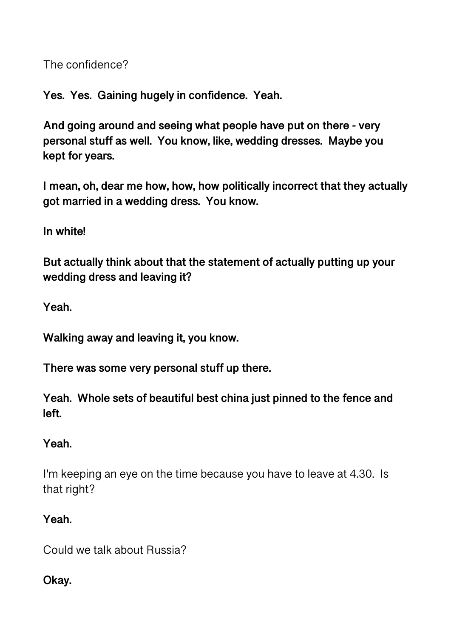The confidence?

**Yes. Yes. Gaining hugely in confidence. Yeah.** 

**And going around and seeing what people have put on there - very personal stuff as well. You know, like, wedding dresses. Maybe you kept for years.** 

**I mean, oh, dear me how, how, how politically incorrect that they actually got married in a wedding dress. You know.** 

**In white!** 

**But actually think about that the statement of actually putting up your wedding dress and leaving it?** 

**Yeah.** 

**Walking away and leaving it, you know.** 

**There was some very personal stuff up there.** 

**Yeah. Whole sets of beautiful best china just pinned to the fence and left.** 

# **Yeah.**

I'm keeping an eye on the time because you have to leave at 4.30. Is that right?

# **Yeah.**

Could we talk about Russia?

### **Okay.**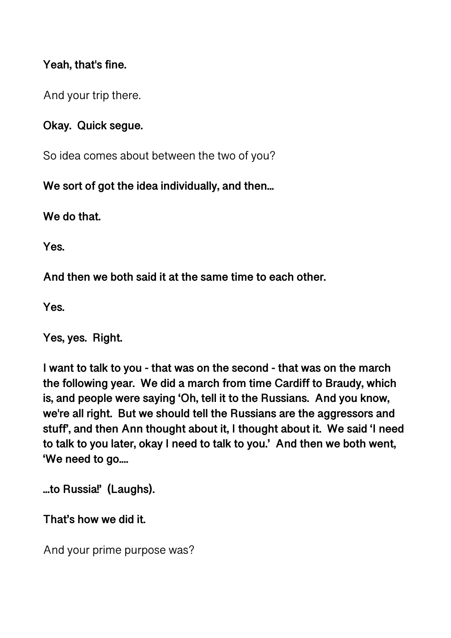### **Yeah, that's fine.**

And your trip there.

### **Okay. Quick segue.**

So idea comes about between the two of you?

**We sort of got the idea individually, and then...** 

**We do that.** 

**Yes.** 

**And then we both said it at the same time to each other.** 

**Yes.** 

**Yes, yes. Right.** 

**I want to talk to you - that was on the second - that was on the march the following year. We did a march from time Cardiff to Braudy, which is, and people were saying 'Oh, tell it to the Russians. And you know, we're all right. But we should tell the Russians are the aggressors and stuff', and then Ann thought about it, I thought about it. We said 'I need to talk to you later, okay I need to talk to you.' And then we both went, 'We need to go....** 

**...to Russia!' (Laughs).** 

**That's how we did it.** 

And your prime purpose was?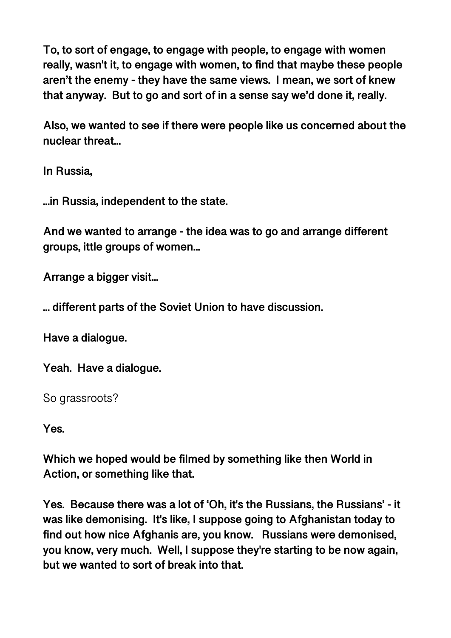**To, to sort of engage, to engage with people, to engage with women really, wasn't it, to engage with women, to find that maybe these people aren't the enemy - they have the same views. I mean, we sort of knew that anyway. But to go and sort of in a sense say we'd done it, really.** 

**Also, we wanted to see if there were people like us concerned about the nuclear threat...** 

**In Russia,** 

**...in Russia, independent to the state.** 

**And we wanted to arrange - the idea was to go and arrange different groups, ittle groups of women...** 

**Arrange a bigger visit...** 

**... different parts of the Soviet Union to have discussion.** 

**Have a dialogue.** 

**Yeah. Have a dialogue.** 

So grassroots?

**Yes.** 

**Which we hoped would be filmed by something like then World in Action, or something like that.** 

**Yes. Because there was a lot of 'Oh, it's the Russians, the Russians' - it was like demonising. It's like, I suppose going to Afghanistan today to find out how nice Afghanis are, you know. Russians were demonised, you know, very much. Well, I suppose they're starting to be now again, but we wanted to sort of break into that.**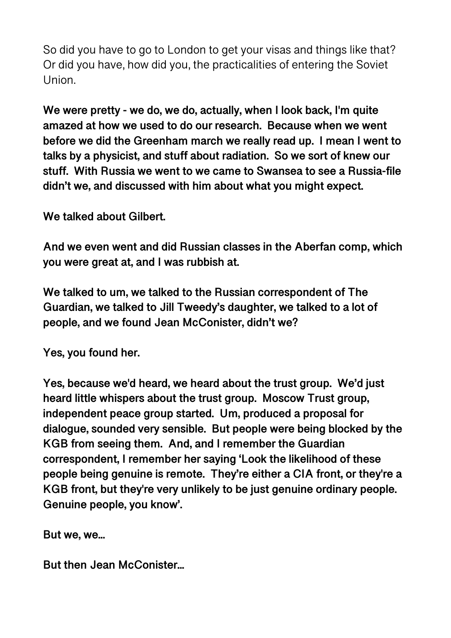So did you have to go to London to get your visas and things like that? Or did you have, how did you, the practicalities of entering the Soviet Union.

**We were pretty - we do, we do, actually, when I look back, I'm quite amazed at how we used to do our research. Because when we went before we did the Greenham march we really read up. I mean I went to talks by a physicist, and stuff about radiation. So we sort of knew our stuff. With Russia we went to we came to Swansea to see a Russia-file didn't we, and discussed with him about what you might expect.** 

**We talked about Gilbert.** 

**And we even went and did Russian classes in the Aberfan comp, which you were great at, and I was rubbish at.** 

**We talked to um, we talked to the Russian correspondent of The Guardian, we talked to Jill Tweedy's daughter, we talked to a lot of people, and we found Jean McConister, didn't we?** 

**Yes, you found her.** 

**Yes, because we'd heard, we heard about the trust group. We'd just heard little whispers about the trust group. Moscow Trust group, independent peace group started. Um, produced a proposal for dialogue, sounded very sensible. But people were being blocked by the KGB from seeing them. And, and I remember the Guardian correspondent, I remember her saying 'Look the likelihood of these people being genuine is remote. They're either a CIA front, or they're a KGB front, but they're very unlikely to be just genuine ordinary people. Genuine people, you know'.** 

**But we, we...** 

**But then Jean McConister...**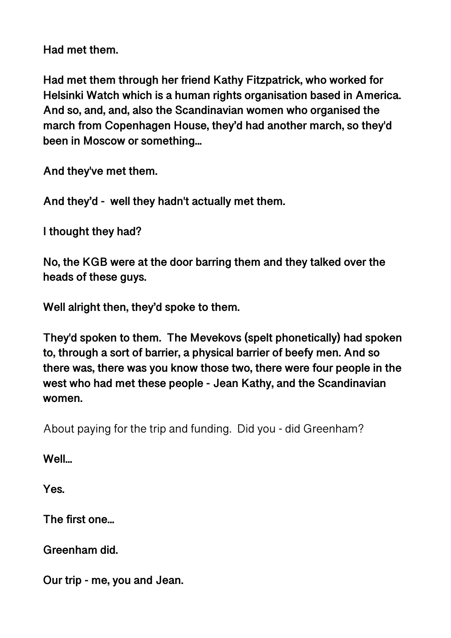**Had met them.** 

**Had met them through her friend Kathy Fitzpatrick, who worked for Helsinki Watch which is a human rights organisation based in America. And so, and, and, also the Scandinavian women who organised the march from Copenhagen House, they'd had another march, so they'd been in Moscow or something...** 

**And they've met them.** 

**And they'd - well they hadn't actually met them.** 

**I thought they had?** 

**No, the KGB were at the door barring them and they talked over the heads of these guys.** 

**Well alright then, they'd spoke to them.** 

**They'd spoken to them. The Mevekovs (spelt phonetically) had spoken to, through a sort of barrier, a physical barrier of beefy men. And so there was, there was you know those two, there were four people in the west who had met these people - Jean Kathy, and the Scandinavian women.** 

About paying for the trip and funding. Did you - did Greenham?

**Well...** 

**Yes.** 

**The first one...** 

**Greenham did.** 

**Our trip - me, you and Jean.**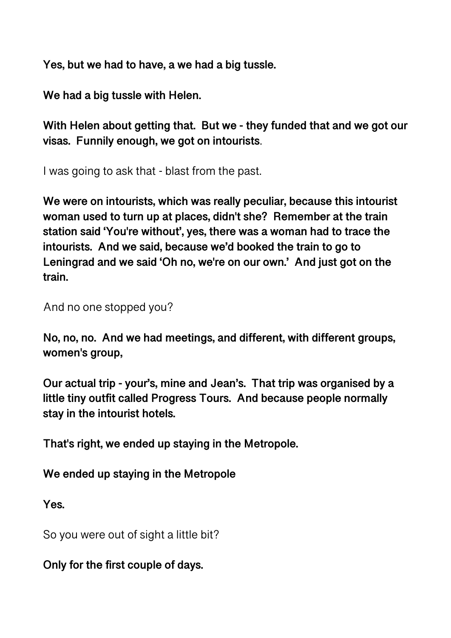**Yes, but we had to have, a we had a big tussle.** 

**We had a big tussle with Helen.** 

**With Helen about getting that. But we - they funded that and we got our visas. Funnily enough, we got on intourists**.

I was going to ask that - blast from the past.

**We were on intourists, which was really peculiar, because this intourist woman used to turn up at places, didn't she? Remember at the train station said 'You're without', yes, there was a woman had to trace the intourists. And we said, because we'd booked the train to go to Leningrad and we said 'Oh no, we're on our own.' And just got on the train.** 

And no one stopped you?

**No, no, no. And we had meetings, and different, with different groups, women's group,** 

**Our actual trip - your's, mine and Jean's. That trip was organised by a little tiny outfit called Progress Tours. And because people normally stay in the intourist hotels.** 

**That's right, we ended up staying in the Metropole.** 

**We ended up staying in the Metropole** 

**Yes.** 

So you were out of sight a little bit?

**Only for the first couple of days.**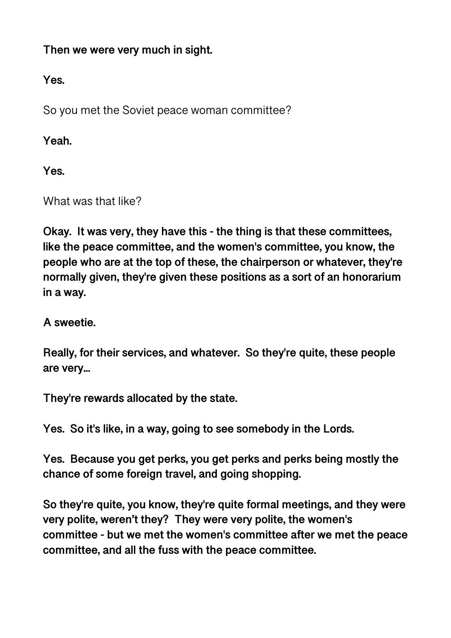**Then we were very much in sight.** 

**Yes.** 

So you met the Soviet peace woman committee?

**Yeah.** 

**Yes.** 

What was that like?

**Okay. It was very, they have this - the thing is that these committees, like the peace committee, and the women's committee, you know, the people who are at the top of these, the chairperson or whatever, they're normally given, they're given these positions as a sort of an honorarium in a way.** 

**A sweetie.** 

**Really, for their services, and whatever. So they're quite, these people are very...** 

**They're rewards allocated by the state.** 

**Yes. So it's like, in a way, going to see somebody in the Lords.** 

**Yes. Because you get perks, you get perks and perks being mostly the chance of some foreign travel, and going shopping.** 

**So they're quite, you know, they're quite formal meetings, and they were very polite, weren't they? They were very polite, the women's committee - but we met the women's committee after we met the peace committee, and all the fuss with the peace committee.**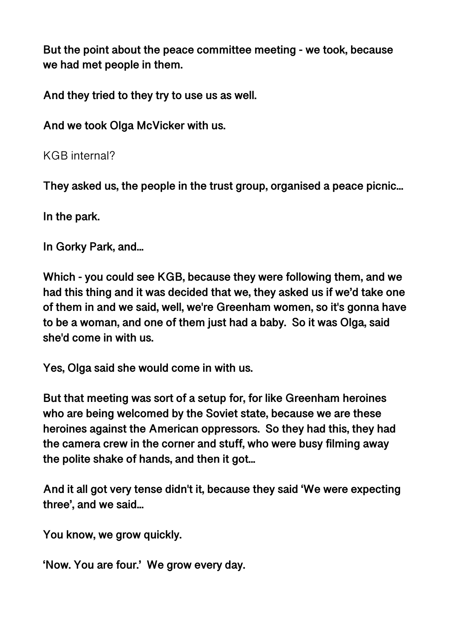**But the point about the peace committee meeting - we took, because we had met people in them.** 

**And they tried to they try to use us as well.** 

**And we took Olga McVicker with us.** 

KGB internal?

**They asked us, the people in the trust group, organised a peace picnic...** 

**In the park.** 

**In Gorky Park, and...** 

**Which - you could see KGB, because they were following them, and we had this thing and it was decided that we, they asked us if we'd take one of them in and we said, well, we're Greenham women, so it's gonna have to be a woman, and one of them just had a baby. So it was Olga, said she'd come in with us.** 

**Yes, Olga said she would come in with us.** 

**But that meeting was sort of a setup for, for like Greenham heroines who are being welcomed by the Soviet state, because we are these heroines against the American oppressors. So they had this, they had the camera crew in the corner and stuff, who were busy filming away the polite shake of hands, and then it got...** 

**And it all got very tense didn't it, because they said 'We were expecting three', and we said...** 

**You know, we grow quickly.** 

**'Now. You are four.' We grow every day.**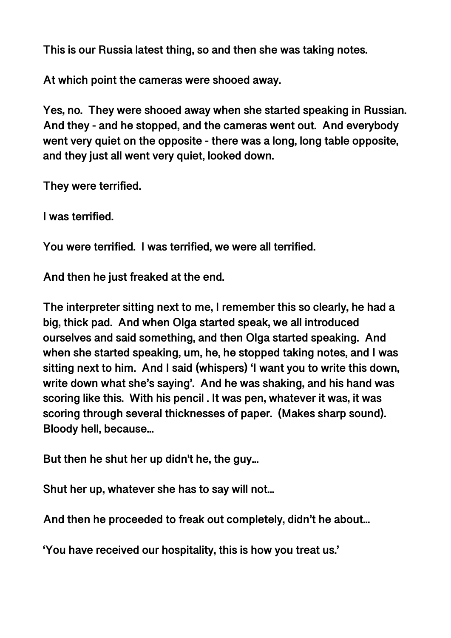**This is our Russia latest thing, so and then she was taking notes.** 

**At which point the cameras were shooed away.** 

**Yes, no. They were shooed away when she started speaking in Russian. And they - and he stopped, and the cameras went out. And everybody went very quiet on the opposite - there was a long, long table opposite, and they just all went very quiet, looked down.** 

**They were terrified.** 

**I was terrified.** 

**You were terrified. I was terrified, we were all terrified.** 

**And then he just freaked at the end.** 

**The interpreter sitting next to me, I remember this so clearly, he had a big, thick pad. And when Olga started speak, we all introduced ourselves and said something, and then Olga started speaking. And when she started speaking, um, he, he stopped taking notes, and I was sitting next to him. And I said (whispers) 'I want you to write this down, write down what she's saying'. And he was shaking, and his hand was scoring like this. With his pencil . It was pen, whatever it was, it was scoring through several thicknesses of paper. (Makes sharp sound). Bloody hell, because...** 

**But then he shut her up didn't he, the guy...** 

**Shut her up, whatever she has to say will not...** 

**And then he proceeded to freak out completely, didn't he about...** 

**'You have received our hospitality, this is how you treat us.'**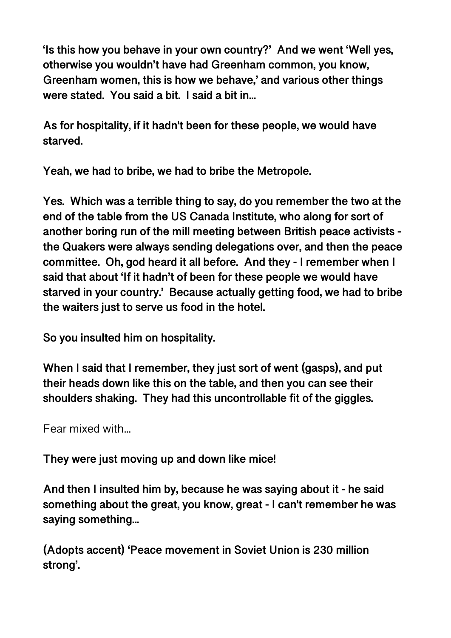**'Is this how you behave in your own country?' And we went 'Well yes, otherwise you wouldn't have had Greenham common, you know, Greenham women, this is how we behave,' and various other things were stated. You said a bit. I said a bit in...** 

**As for hospitality, if it hadn't been for these people, we would have starved.** 

**Yeah, we had to bribe, we had to bribe the Metropole.** 

**Yes. Which was a terrible thing to say, do you remember the two at the end of the table from the US Canada Institute, who along for sort of another boring run of the mill meeting between British peace activists the Quakers were always sending delegations over, and then the peace committee. Oh, god heard it all before. And they - I remember when I said that about 'If it hadn't of been for these people we would have starved in your country.' Because actually getting food, we had to bribe the waiters just to serve us food in the hotel.** 

**So you insulted him on hospitality.** 

**When I said that I remember, they just sort of went (gasps), and put their heads down like this on the table, and then you can see their shoulders shaking. They had this uncontrollable fit of the giggles.** 

Fear mixed with...

**They were just moving up and down like mice!** 

**And then I insulted him by, because he was saying about it - he said something about the great, you know, great - I can't remember he was saying something...** 

**(Adopts accent) 'Peace movement in Soviet Union is 230 million strong'.**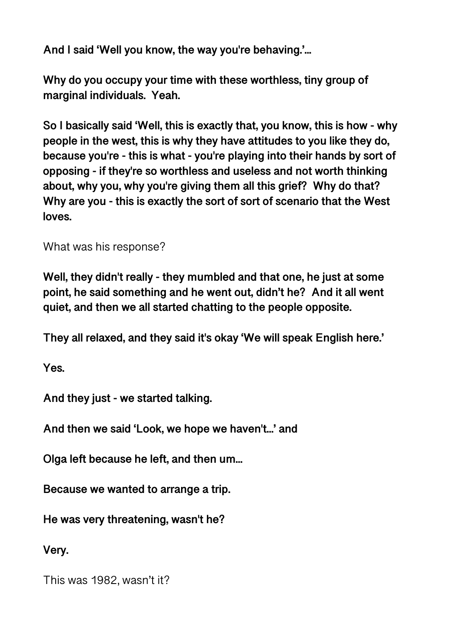**And I said 'Well you know, the way you're behaving.'...** 

**Why do you occupy your time with these worthless, tiny group of marginal individuals. Yeah.** 

**So I basically said 'Well, this is exactly that, you know, this is how - why people in the west, this is why they have attitudes to you like they do, because you're - this is what - you're playing into their hands by sort of opposing - if they're so worthless and useless and not worth thinking about, why you, why you're giving them all this grief? Why do that? Why are you - this is exactly the sort of sort of scenario that the West loves.** 

What was his response?

**Well, they didn't really - they mumbled and that one, he just at some point, he said something and he went out, didn't he? And it all went quiet, and then we all started chatting to the people opposite.** 

**They all relaxed, and they said it's okay 'We will speak English here.'** 

**Yes.** 

**And they just - we started talking.** 

**And then we said 'Look, we hope we haven't...' and** 

**Olga left because he left, and then um...** 

**Because we wanted to arrange a trip.** 

**He was very threatening, wasn't he?** 

**Very.** 

This was 1982, wasn't it?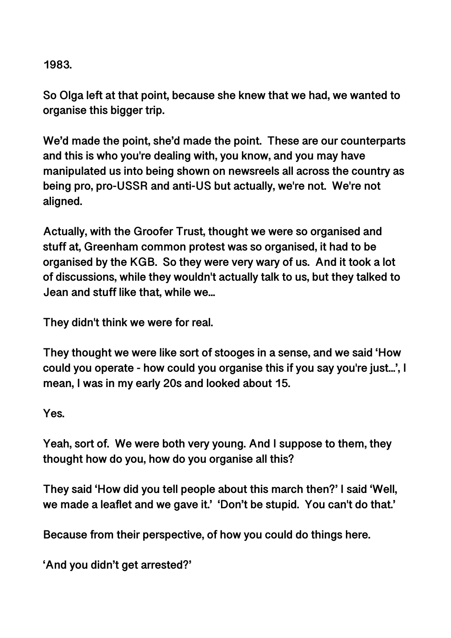**1983.** 

**So Olga left at that point, because she knew that we had, we wanted to organise this bigger trip.** 

**We'd made the point, she'd made the point. These are our counterparts and this is who you're dealing with, you know, and you may have manipulated us into being shown on newsreels all across the country as being pro, pro-USSR and anti-US but actually, we're not. We're not aligned.** 

**Actually, with the Groofer Trust, thought we were so organised and stuff at, Greenham common protest was so organised, it had to be organised by the KGB. So they were very wary of us. And it took a lot of discussions, while they wouldn't actually talk to us, but they talked to Jean and stuff like that, while we...** 

**They didn't think we were for real.** 

**They thought we were like sort of stooges in a sense, and we said 'How could you operate - how could you organise this if you say you're just...', I mean, I was in my early 20s and looked about 15.** 

**Yes.** 

**Yeah, sort of. We were both very young. And I suppose to them, they thought how do you, how do you organise all this?** 

**They said 'How did you tell people about this march then?' I said 'Well, we made a leaflet and we gave it.' 'Don't be stupid. You can't do that.'** 

**Because from their perspective, of how you could do things here.** 

**'And you didn't get arrested?'**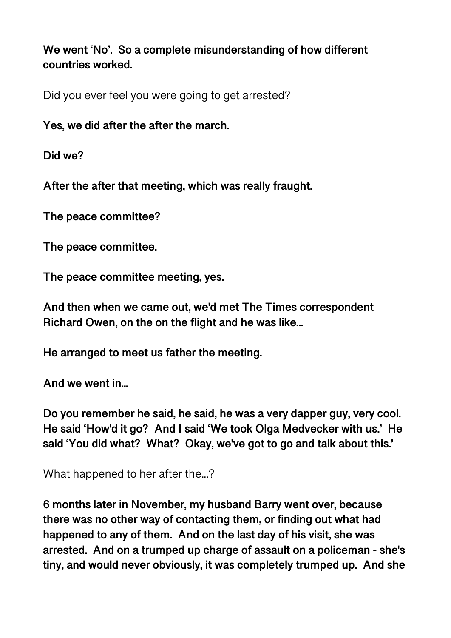**We went 'No'. So a complete misunderstanding of how different countries worked.** 

Did you ever feel you were going to get arrested?

**Yes, we did after the after the march.** 

**Did we?** 

**After the after that meeting, which was really fraught.** 

**The peace committee?** 

**The peace committee.** 

**The peace committee meeting, yes.** 

**And then when we came out, we'd met The Times correspondent Richard Owen, on the on the flight and he was like...** 

**He arranged to meet us father the meeting.** 

**And we went in...** 

**Do you remember he said, he said, he was a very dapper guy, very cool. He said 'How'd it go? And I said 'We took Olga Medvecker with us.' He said 'You did what? What? Okay, we've got to go and talk about this.'** 

What happened to her after the...?

**6 months later in November, my husband Barry went over, because there was no other way of contacting them, or finding out what had happened to any of them. And on the last day of his visit, she was arrested. And on a trumped up charge of assault on a policeman - she's tiny, and would never obviously, it was completely trumped up. And she**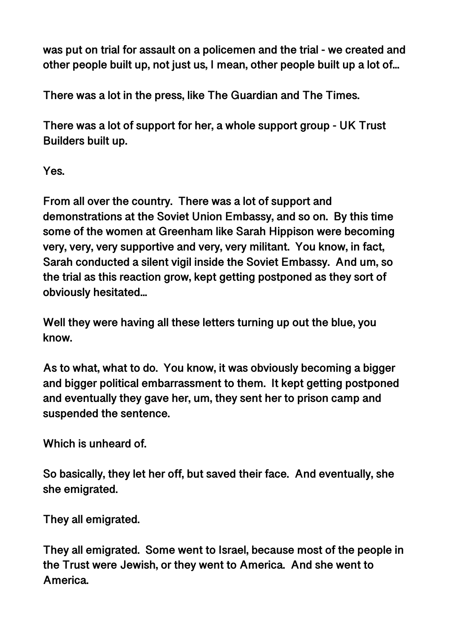**was put on trial for assault on a policemen and the trial - we created and other people built up, not just us, I mean, other people built up a lot of...** 

**There was a lot in the press, like The Guardian and The Times.** 

**There was a lot of support for her, a whole support group - UK Trust Builders built up.** 

**Yes.** 

**From all over the country. There was a lot of support and demonstrations at the Soviet Union Embassy, and so on. By this time some of the women at Greenham like Sarah Hippison were becoming very, very, very supportive and very, very militant. You know, in fact, Sarah conducted a silent vigil inside the Soviet Embassy. And um, so the trial as this reaction grow, kept getting postponed as they sort of obviously hesitated...** 

**Well they were having all these letters turning up out the blue, you know.** 

**As to what, what to do. You know, it was obviously becoming a bigger and bigger political embarrassment to them. It kept getting postponed and eventually they gave her, um, they sent her to prison camp and suspended the sentence.** 

**Which is unheard of.** 

**So basically, they let her off, but saved their face. And eventually, she she emigrated.** 

**They all emigrated.** 

**They all emigrated. Some went to Israel, because most of the people in the Trust were Jewish, or they went to America. And she went to America.**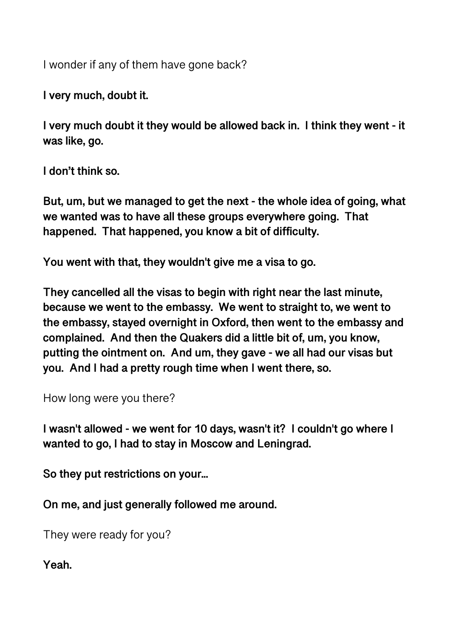I wonder if any of them have gone back?

**I very much, doubt it.** 

**I very much doubt it they would be allowed back in. I think they went - it was like, go.** 

**I don't think so.** 

**But, um, but we managed to get the next - the whole idea of going, what we wanted was to have all these groups everywhere going. That happened. That happened, you know a bit of difficulty.** 

**You went with that, they wouldn't give me a visa to go.** 

**They cancelled all the visas to begin with right near the last minute, because we went to the embassy. We went to straight to, we went to the embassy, stayed overnight in Oxford, then went to the embassy and complained. And then the Quakers did a little bit of, um, you know, putting the ointment on. And um, they gave - we all had our visas but you. And I had a pretty rough time when I went there, so.** 

How long were you there?

**I wasn't allowed - we went for 10 days, wasn't it? I couldn't go where I wanted to go, I had to stay in Moscow and Leningrad.** 

**So they put restrictions on your...** 

**On me, and just generally followed me around.** 

They were ready for you?

**Yeah.**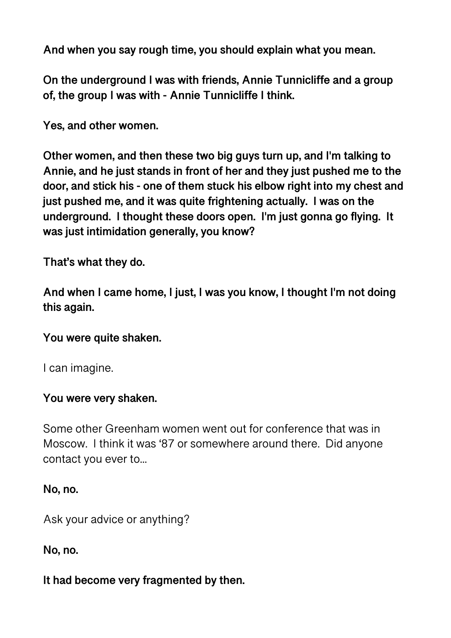**And when you say rough time, you should explain what you mean.** 

**On the underground I was with friends, Annie Tunnicliffe and a group of, the group I was with - Annie Tunnicliffe I think.** 

**Yes, and other women.** 

**Other women, and then these two big guys turn up, and I'm talking to Annie, and he just stands in front of her and they just pushed me to the door, and stick his - one of them stuck his elbow right into my chest and just pushed me, and it was quite frightening actually. I was on the underground. I thought these doors open. I'm just gonna go flying. It was just intimidation generally, you know?** 

**That's what they do.** 

**And when I came home, I just, I was you know, I thought I'm not doing this again.** 

#### **You were quite shaken.**

I can imagine.

#### **You were very shaken.**

Some other Greenham women went out for conference that was in Moscow. I think it was '87 or somewhere around there. Did anyone contact you ever to...

#### **No, no.**

Ask your advice or anything?

**No, no.** 

#### **It had become very fragmented by then.**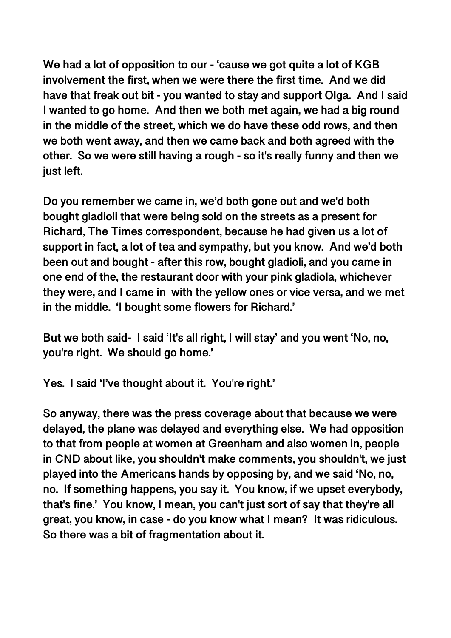**We had a lot of opposition to our - 'cause we got quite a lot of KGB involvement the first, when we were there the first time. And we did have that freak out bit - you wanted to stay and support Olga. And I said I wanted to go home. And then we both met again, we had a big round in the middle of the street, which we do have these odd rows, and then we both went away, and then we came back and both agreed with the other. So we were still having a rough - so it's really funny and then we just left.** 

**Do you remember we came in, we'd both gone out and we'd both bought gladioli that were being sold on the streets as a present for Richard, The Times correspondent, because he had given us a lot of support in fact, a lot of tea and sympathy, but you know. And we'd both been out and bought - after this row, bought gladioli, and you came in one end of the, the restaurant door with your pink gladiola, whichever they were, and I came in with the yellow ones or vice versa, and we met in the middle. 'I bought some flowers for Richard.'** 

**But we both said- I said 'It's all right, I will stay' and you went 'No, no, you're right. We should go home.'** 

**Yes. I said 'I've thought about it. You're right.'** 

**So anyway, there was the press coverage about that because we were delayed, the plane was delayed and everything else. We had opposition to that from people at women at Greenham and also women in, people in CND about like, you shouldn't make comments, you shouldn't, we just played into the Americans hands by opposing by, and we said 'No, no, no. If something happens, you say it. You know, if we upset everybody, that's fine.' You know, I mean, you can't just sort of say that they're all great, you know, in case - do you know what I mean? It was ridiculous. So there was a bit of fragmentation about it.**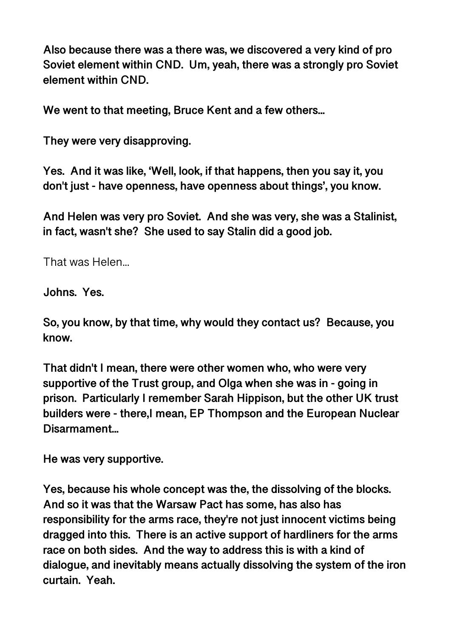**Also because there was a there was, we discovered a very kind of pro Soviet element within CND. Um, yeah, there was a strongly pro Soviet element within CND.** 

**We went to that meeting, Bruce Kent and a few others...** 

**They were very disapproving.** 

**Yes. And it was like, 'Well, look, if that happens, then you say it, you don't just - have openness, have openness about things', you know.** 

**And Helen was very pro Soviet. And she was very, she was a Stalinist, in fact, wasn't she? She used to say Stalin did a good job.** 

That was Helen...

**Johns. Yes.** 

**So, you know, by that time, why would they contact us? Because, you know.** 

**That didn't I mean, there were other women who, who were very supportive of the Trust group, and Olga when she was in - going in prison. Particularly I remember Sarah Hippison, but the other UK trust builders were - there,I mean, EP Thompson and the European Nuclear Disarmament...** 

**He was very supportive.** 

**Yes, because his whole concept was the, the dissolving of the blocks. And so it was that the Warsaw Pact has some, has also has responsibility for the arms race, they're not just innocent victims being dragged into this. There is an active support of hardliners for the arms race on both sides. And the way to address this is with a kind of dialogue, and inevitably means actually dissolving the system of the iron curtain. Yeah.**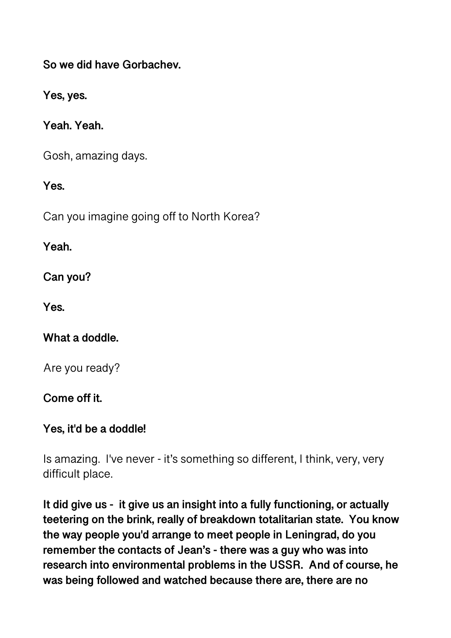**So we did have Gorbachev.** 

**Yes, yes.** 

**Yeah. Yeah.** 

Gosh, amazing days.

**Yes.** 

Can you imagine going off to North Korea?

**Yeah.** 

**Can you?** 

**Yes.** 

**What a doddle.** 

Are you ready?

**Come off it.** 

**Yes, it'd be a doddle!** 

Is amazing. I've never - it's something so different, I think, very, very difficult place.

**It did give us - it give us an insight into a fully functioning, or actually teetering on the brink, really of breakdown totalitarian state. You know the way people you'd arrange to meet people in Leningrad, do you remember the contacts of Jean's - there was a guy who was into research into environmental problems in the USSR. And of course, he was being followed and watched because there are, there are no**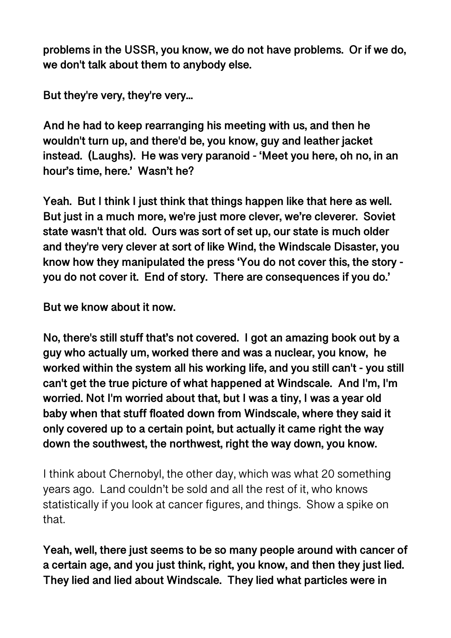**problems in the USSR, you know, we do not have problems. Or if we do, we don't talk about them to anybody else.** 

**But they're very, they're very...** 

**And he had to keep rearranging his meeting with us, and then he wouldn't turn up, and there'd be, you know, guy and leather jacket instead. (Laughs). He was very paranoid - 'Meet you here, oh no, in an hour's time, here.' Wasn't he?** 

**Yeah. But I think I just think that things happen like that here as well. But just in a much more, we're just more clever, we're cleverer. Soviet state wasn't that old. Ours was sort of set up, our state is much older and they're very clever at sort of like Wind, the Windscale Disaster, you know how they manipulated the press 'You do not cover this, the story you do not cover it. End of story. There are consequences if you do.'** 

**But we know about it now.** 

**No, there's still stuff that's not covered. I got an amazing book out by a guy who actually um, worked there and was a nuclear, you know, he worked within the system all his working life, and you still can't - you still can't get the true picture of what happened at Windscale. And I'm, I'm worried. Not I'm worried about that, but I was a tiny, I was a year old baby when that stuff floated down from Windscale, where they said it only covered up to a certain point, but actually it came right the way down the southwest, the northwest, right the way down, you know.** 

I think about Chernobyl, the other day, which was what 20 something years ago. Land couldn't be sold and all the rest of it, who knows statistically if you look at cancer figures, and things. Show a spike on that.

**Yeah, well, there just seems to be so many people around with cancer of a certain age, and you just think, right, you know, and then they just lied. They lied and lied about Windscale. They lied what particles were in**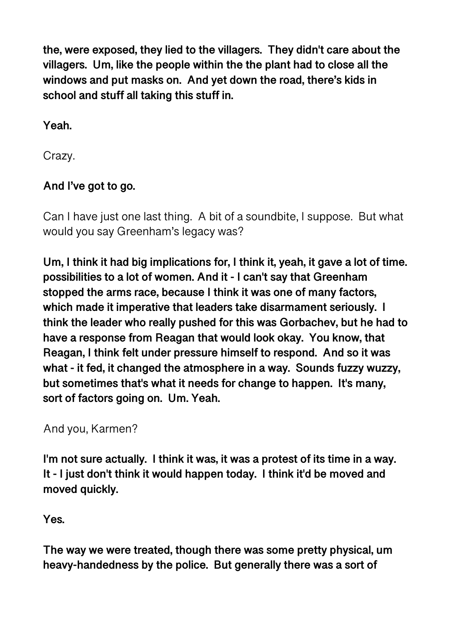**the, were exposed, they lied to the villagers. They didn't care about the villagers. Um, like the people within the the plant had to close all the windows and put masks on. And yet down the road, there's kids in school and stuff all taking this stuff in.** 

**Yeah.** 

Crazy.

# **And I've got to go.**

Can I have just one last thing. A bit of a soundbite, I suppose. But what would you say Greenham's legacy was?

**Um, I think it had big implications for, I think it, yeah, it gave a lot of time. possibilities to a lot of women. And it - I can't say that Greenham stopped the arms race, because I think it was one of many factors, which made it imperative that leaders take disarmament seriously. I think the leader who really pushed for this was Gorbachev, but he had to have a response from Reagan that would look okay. You know, that Reagan, I think felt under pressure himself to respond. And so it was what - it fed, it changed the atmosphere in a way. Sounds fuzzy wuzzy, but sometimes that's what it needs for change to happen. It's many, sort of factors going on. Um. Yeah.** 

And you, Karmen?

**I'm not sure actually. I think it was, it was a protest of its time in a way. It - I just don't think it would happen today. I think it'd be moved and moved quickly.** 

**Yes.** 

**The way we were treated, though there was some pretty physical, um heavy-handedness by the police. But generally there was a sort of**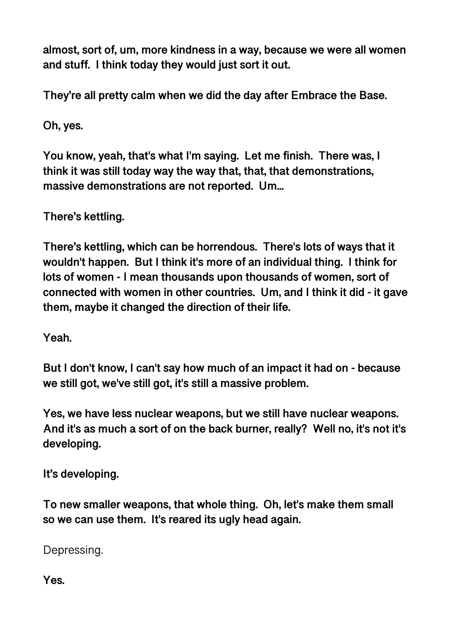**almost, sort of, um, more kindness in a way, because we were all women and stuff. I think today they would just sort it out.** 

**They're all pretty calm when we did the day after Embrace the Base.** 

**Oh, yes.** 

**You know, yeah, that's what I'm saying. Let me finish. There was, I think it was still today way the way that, that, that demonstrations, massive demonstrations are not reported. Um...** 

**There's kettling.** 

**There's kettling, which can be horrendous. There's lots of ways that it wouldn't happen. But I think it's more of an individual thing. I think for lots of women - I mean thousands upon thousands of women, sort of connected with women in other countries. Um, and I think it did - it gave them, maybe it changed the direction of their life.** 

**Yeah.** 

**But I don't know, I can't say how much of an impact it had on - because we still got, we've still got, it's still a massive problem.** 

**Yes, we have less nuclear weapons, but we still have nuclear weapons. And it's as much a sort of on the back burner, really? Well no, it's not it's developing.** 

**It's developing.** 

**To new smaller weapons, that whole thing. Oh, let's make them small so we can use them. It's reared its ugly head again.** 

Depressing.

**Yes.**